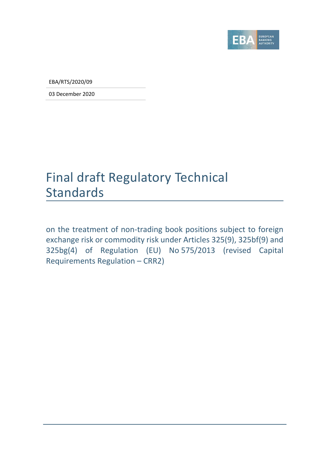

EBA/RTS/2020/09

03 December 2020

# Final draft Regulatory Technical Standards

on the treatment of non-trading book positions subject to foreign exchange risk or commodity risk under Articles 325(9), 325bf(9) and 325bg(4) of Regulation (EU) No 575/2013 (revised Capital Requirements Regulation – CRR2)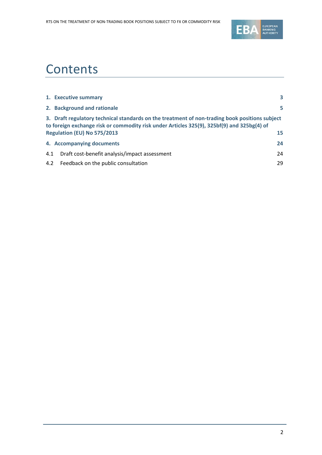

# **Contents**

|     | 1. Executive summary                                                                                                                                                                                                        | 3  |
|-----|-----------------------------------------------------------------------------------------------------------------------------------------------------------------------------------------------------------------------------|----|
|     | 2. Background and rationale                                                                                                                                                                                                 | 5  |
|     | 3. Draft regulatory technical standards on the treatment of non-trading book positions subject<br>to foreign exchange risk or commodity risk under Articles 325(9), 325bf(9) and 325bg(4) of<br>Regulation (EU) No 575/2013 | 15 |
|     | 4. Accompanying documents                                                                                                                                                                                                   | 24 |
| 4.1 | Draft cost-benefit analysis/impact assessment                                                                                                                                                                               | 24 |
|     | 4.2 Feedback on the public consultation                                                                                                                                                                                     | 29 |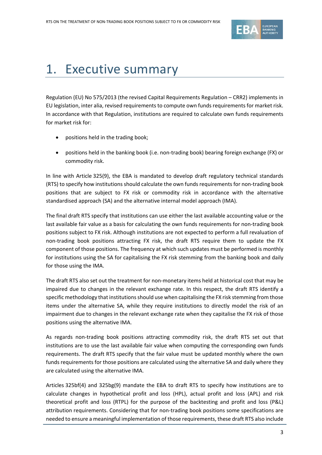

# <span id="page-2-0"></span>1. Executive summary

Regulation (EU) No 575/2013 (the revised Capital Requirements Regulation – CRR2) implements in EU legislation, inter alia, revised requirements to compute own funds requirements for market risk. In accordance with that Regulation, institutions are required to calculate own funds requirements for market risk for:

- positions held in the trading book;
- positions held in the banking book (i.e. non-trading book) bearing foreign exchange (FX) or commodity risk.

In line with Article 325(9), the EBA is mandated to develop draft regulatory technical standards (RTS) to specify how institutions should calculate the own funds requirements for non-trading book positions that are subject to FX risk or commodity risk in accordance with the alternative standardised approach (SA) and the alternative internal model approach (IMA).

The final draft RTS specify that institutions can use either the last available accounting value or the last available fair value as a basis for calculating the own funds requirements for non-trading book positions subject to FX risk. Although institutions are not expected to perform a full revaluation of non-trading book positions attracting FX risk, the draft RTS require them to update the FX component of those positions. The frequency at which such updates must be performed is monthly for institutions using the SA for capitalising the FX risk stemming from the banking book and daily for those using the IMA.

The draft RTS also set out the treatment for non-monetary items held at historical cost that may be impaired due to changes in the relevant exchange rate. In this respect, the draft RTS identify a specific methodology that institutions should use when capitalising the FX risk stemming from those items under the alternative SA, while they require institutions to directly model the risk of an impairment due to changes in the relevant exchange rate when they capitalise the FX risk of those positions using the alternative IMA.

As regards non-trading book positions attracting commodity risk, the draft RTS set out that institutions are to use the last available fair value when computing the corresponding own funds requirements. The draft RTS specify that the fair value must be updated monthly where the own funds requirements for those positions are calculated using the alternative SA and daily where they are calculated using the alternative IMA.

Articles 325bf(4) and 325bg(9) mandate the EBA to draft RTS to specify how institutions are to calculate changes in hypothetical profit and loss (HPL), actual profit and loss (APL) and risk theoretical profit and loss (RTPL) for the purpose of the backtesting and profit and loss (P&L) attribution requirements. Considering that for non-trading book positions some specifications are needed to ensure a meaningful implementation of those requirements, these draft RTS also include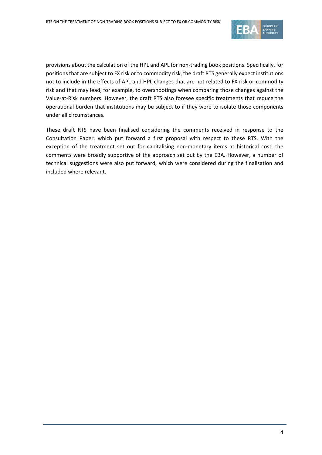

provisions about the calculation of the HPL and APL for non-trading book positions. Specifically, for positions that are subject to FX risk or to commodity risk, the draft RTS generally expect institutions not to include in the effects of APL and HPL changes that are not related to FX risk or commodity risk and that may lead, for example, to overshootings when comparing those changes against the Value-at-Risk numbers. However, the draft RTS also foresee specific treatments that reduce the operational burden that institutions may be subject to if they were to isolate those components under all circumstances.

These draft RTS have been finalised considering the comments received in response to the Consultation Paper, which put forward a first proposal with respect to these RTS. With the exception of the treatment set out for capitalising non-monetary items at historical cost, the comments were broadly supportive of the approach set out by the EBA. However, a number of technical suggestions were also put forward, which were considered during the finalisation and included where relevant.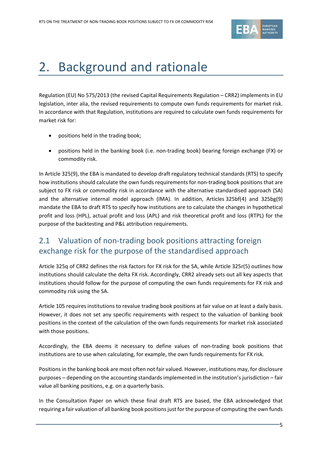

# <span id="page-4-0"></span>2. Background and rationale

Regulation (EU) No 575/2013 (the revised Capital Requirements Regulation – CRR2) implements in EU legislation, inter alia, the revised requirements to compute own funds requirements for market risk. In accordance with that Regulation, institutions are required to calculate own funds requirements for market risk for:

- positions held in the trading book;
- positions held in the banking book (i.e. non-trading book) bearing foreign exchange (FX) or commodity risk.

In Article 325(9), the EBA is mandated to develop draft regulatory technical standards (RTS) to specify how institutions should calculate the own funds requirements for non-trading book positions that are subject to FX risk or commodity risk in accordance with the alternative standardised approach (SA) and the alternative internal model approach (IMA). In addition, Articles 325bf(4) and 325bg(9) mandate the EBA to draft RTS to specify how institutions are to calculate the changes in hypothetical profit and loss (HPL), actual profit and loss (APL) and risk theoretical profit and loss (RTPL) for the purpose of the backtesting and P&L attribution requirements.

# 2.1 Valuation of non-trading book positions attracting foreign exchange risk for the purpose of the standardised approach

Article 325q of CRR2 defines the risk factors for FX risk for the SA, while Article 325r(5) outlines how institutions should calculate the delta FX risk. Accordingly, CRR2 already sets out all key aspects that institutions should follow for the purpose of computing the own funds requirements for FX risk and commodity risk using the SA.

Article 105 requires institutions to revalue trading book positions at fair value on at least a daily basis. However, it does not set any specific requirements with respect to the valuation of banking book positions in the context of the calculation of the own funds requirements for market risk associated with those positions.

Accordingly, the EBA deems it necessary to define values of non-trading book positions that institutions are to use when calculating, for example, the own funds requirements for FX risk.

Positions in the banking book are most often not fair valued. However, institutions may, for disclosure purposes – depending on the accounting standards implemented in the institution's jurisdiction – fair value all banking positions, e.g. on a quarterly basis.

In the Consultation Paper on which these final draft RTS are based, the EBA acknowledged that requiring a fair valuation of all banking book positions just for the purpose of computing the own funds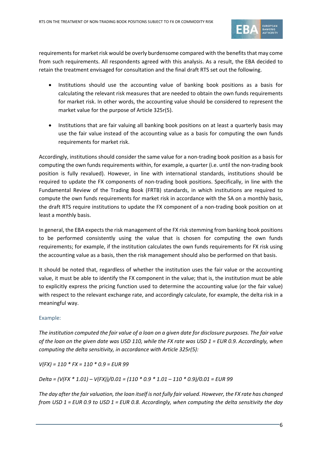

requirements for market risk would be overly burdensome compared with the benefits that may come from such requirements. All respondents agreed with this analysis. As a result, the EBA decided to retain the treatment envisaged for consultation and the final draft RTS set out the following.

- Institutions should use the accounting value of banking book positions as a basis for calculating the relevant risk measures that are needed to obtain the own funds requirements for market risk. In other words, the accounting value should be considered to represent the market value for the purpose of Article 325r(5).
- Institutions that are fair valuing all banking book positions on at least a quarterly basis may use the fair value instead of the accounting value as a basis for computing the own funds requirements for market risk.

Accordingly, institutions should consider the same value for a non-trading book position as a basis for computing the own funds requirements within, for example, a quarter (i.e. until the non-trading book position is fully revalued). However, in line with international standards, institutions should be required to update the FX components of non-trading book positions. Specifically, in line with the Fundamental Review of the Trading Book (FRTB) standards, in which institutions are required to compute the own funds requirements for market risk in accordance with the SA on a monthly basis, the draft RTS require institutions to update the FX component of a non-trading book position on at least a monthly basis.

In general, the EBA expects the risk management of the FX risk stemming from banking book positions to be performed consistently using the value that is chosen for computing the own funds requirements; for example, if the institution calculates the own funds requirements for FX risk using the accounting value as a basis, then the risk management should also be performed on that basis.

It should be noted that, regardless of whether the institution uses the fair value or the accounting value, it must be able to identify the FX component in the value; that is, the institution must be able to explicitly express the pricing function used to determine the accounting value (or the fair value) with respect to the relevant exchange rate, and accordingly calculate, for example, the delta risk in a meaningful way.

#### Example:

*The institution computed the fair value of a loan on a given date for disclosure purposes. The fair value of the loan on the given date was USD 110, while the FX rate was USD 1 = EUR 0.9. Accordingly, when computing the delta sensitivity, in accordance with Article 325r(5):*

*V(FX) = 110 \* FX = 110 \* 0.9 = EUR 99*

*Delta = (V(FX \* 1.01) – V(FX))/0.01 = (110 \* 0.9 \* 1.01 – 110 \* 0.9)/0.01 = EUR 99*

*The day after the fair valuation, the loan itself is not fully fair valued. However, the FX rate has changed from USD 1 = EUR 0.9 to USD 1 = EUR 0.8. Accordingly, when computing the delta sensitivity the day*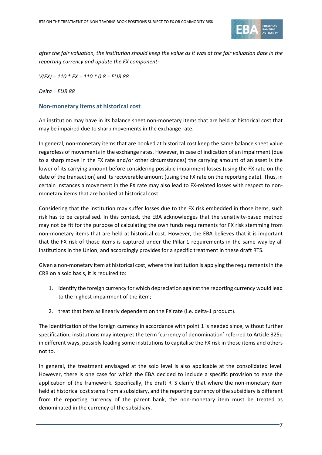

*after the fair valuation, the institution should keep the value as it was at the fair valuation date in the reporting currency and update the FX component:*

*V(FX) = 110 \* FX = 110 \* 0.8 = EUR 88*

*Delta = EUR 88*

#### **Non-monetary items at historical cost**

An institution may have in its balance sheet non-monetary items that are held at historical cost that may be impaired due to sharp movements in the exchange rate.

In general, non-monetary items that are booked at historical cost keep the same balance sheet value regardless of movements in the exchange rates. However, in case of indication of an impairment (due to a sharp move in the FX rate and/or other circumstances) the carrying amount of an asset is the lower of its carrying amount before considering possible impairment losses (using the FX rate on the date of the transaction) and its recoverable amount (using the FX rate on the reporting date). Thus, in certain instances a movement in the FX rate may also lead to FX-related losses with respect to nonmonetary items that are booked at historical cost.

Considering that the institution may suffer losses due to the FX risk embedded in those items, such risk has to be capitalised. In this context, the EBA acknowledges that the sensitivity-based method may not be fit for the purpose of calculating the own funds requirements for FX risk stemming from non-monetary items that are held at historical cost. However, the EBA believes that it is important that the FX risk of those items is captured under the Pillar 1 requirements in the same way by all institutions in the Union, and accordingly provides for a specific treatment in these draft RTS.

Given a non-monetary item at historical cost, where the institution is applying the requirements in the CRR on a solo basis, it is required to:

- 1. identify the foreign currency for which depreciation against the reporting currency would lead to the highest impairment of the item;
- 2. treat that item as linearly dependent on the FX rate (i.e. delta-1 product).

The identification of the foreign currency in accordance with point 1 is needed since, without further specification, institutions may interpret the term 'currency of denomination' referred to Article 325q in different ways, possibly leading some institutions to capitalise the FX risk in those items and others not to.

In general, the treatment envisaged at the solo level is also applicable at the consolidated level. However, there is one case for which the EBA decided to include a specific provision to ease the application of the framework. Specifically, the draft RTS clarify that where the non-monetary item held at historical cost stems from a subsidiary, and the reporting currency of the subsidiary is different from the reporting currency of the parent bank, the non-monetary item must be treated as denominated in the currency of the subsidiary.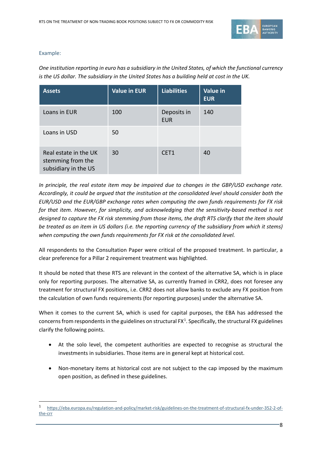

#### Example:

1

*One institution reporting in euro has a subsidiary in the United States, of which the functional currency is the US dollar. The subsidiary in the United States has a building held at cost in the UK.*

| <b>Assets</b>                                                      | <b>Value in EUR</b> | <b>Liabilities</b>        | <b>Value in</b><br><b>EUR</b> |
|--------------------------------------------------------------------|---------------------|---------------------------|-------------------------------|
| Loans in EUR                                                       | 100                 | Deposits in<br><b>EUR</b> | 140                           |
| Loans in USD                                                       | 50                  |                           |                               |
| Real estate in the UK<br>stemming from the<br>subsidiary in the US | 30                  | CET1                      | 40                            |

*In principle, the real estate item may be impaired due to changes in the GBP/USD exchange rate. Accordingly, it could be argued that the institution at the consolidated level should consider both the EUR/USD and the EUR/GBP exchange rates when computing the own funds requirements for FX risk for that item. However, for simplicity, and acknowledging that the sensitivity-based method is not designed to capture the FX risk stemming from those items, the draft RTS clarify that the item should be treated as an item in US dollars (i.e. the reporting currency of the subsidiary from which it stems) when computing the own funds requirements for FX risk at the consolidated level.*

All respondents to the Consultation Paper were critical of the proposed treatment. In particular, a clear preference for a Pillar 2 requirement treatment was highlighted.

It should be noted that these RTS are relevant in the context of the alternative SA, which is in place only for reporting purposes. The alternative SA, as currently framed in CRR2, does not foresee any treatment for structural FX positions, i.e. CRR2 does not allow banks to exclude any FX position from the calculation of own funds requirements (for reporting purposes) under the alternative SA.

When it comes to the current SA, which is used for capital purposes, the EBA has addressed the concerns from respondents in the guidelines on structural  $FX^1$  $FX^1$ . Specifically, the structural FX guidelines clarify the following points.

- At the solo level, the competent authorities are expected to recognise as structural the investments in subsidiaries. Those items are in general kept at historical cost.
- Non-monetary items at historical cost are not subject to the cap imposed by the maximum open position, as defined in these guidelines.

<span id="page-7-0"></span><sup>1</sup> [https://eba.europa.eu/regulation-and-policy/market-risk/guidelines-on-the-treatment-of-structural-fx-under-352-2-of](https://eba.europa.eu/regulation-and-policy/market-risk/guidelines-on-the-treatment-of-structural-fx-under-352-2-of-the-crr)[the-crr](https://eba.europa.eu/regulation-and-policy/market-risk/guidelines-on-the-treatment-of-structural-fx-under-352-2-of-the-crr)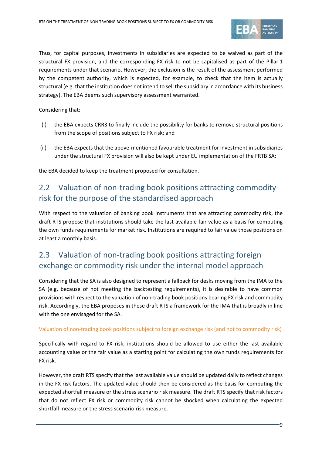

Thus, for capital purposes, investments in subsidiaries are expected to be waived as part of the structural FX provision, and the corresponding FX risk to not be capitalised as part of the Pillar 1 requirements under that scenario. However, the exclusion is the result of the assessment performed by the competent authority, which is expected, for example, to check that the item is actually structural (e.g. that the institution does not intend to sell the subsidiary in accordance with its business strategy). The EBA deems such supervisory assessment warranted.

Considering that:

- (i) the EBA expects CRR3 to finally include the possibility for banks to remove structural positions from the scope of positions subject to FX risk; and
- (ii) the EBA expects that the above-mentioned favourable treatment for investment in subsidiaries under the structural FX provision will also be kept under EU implementation of the FRTB SA;

the EBA decided to keep the treatment proposed for consultation.

# 2.2 Valuation of non-trading book positions attracting commodity risk for the purpose of the standardised approach

With respect to the valuation of banking book instruments that are attracting commodity risk, the draft RTS propose that institutions should take the last available fair value as a basis for computing the own funds requirements for market risk. Institutions are required to fair value those positions on at least a monthly basis.

# 2.3 Valuation of non-trading book positions attracting foreign exchange or commodity risk under the internal model approach

Considering that the SA is also designed to represent a fallback for desks moving from the IMA to the SA (e.g. because of not meeting the backtesting requirements), it is desirable to have common provisions with respect to the valuation of non-trading book positions bearing FX risk and commodity risk. Accordingly, the EBA proposes in these draft RTS a framework for the IMA that is broadly in line with the one envisaged for the SA.

#### Valuation of non-trading book positions subject to foreign exchange risk (and not to commodity risk)

Specifically with regard to FX risk, institutions should be allowed to use either the last available accounting value or the fair value as a starting point for calculating the own funds requirements for FX risk.

However, the draft RTS specify that the last available value should be updated daily to reflect changes in the FX risk factors. The updated value should then be considered as the basis for computing the expected shortfall measure or the stress scenario risk measure. The draft RTS specify that risk factors that do not reflect FX risk or commodity risk cannot be shocked when calculating the expected shortfall measure or the stress scenario risk measure.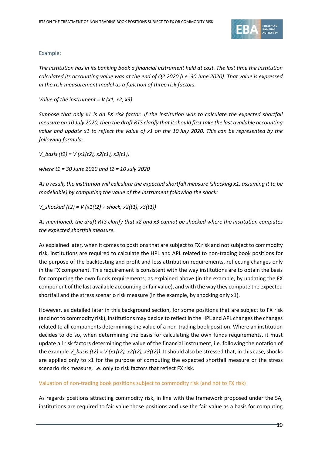

#### Example:

*The institution has in its banking book a financial instrument held at cost. The last time the institution calculated its accounting value was at the end of Q2 2020 (i.e. 30 June 2020). That value is expressed in the risk-measurement model as a function of three risk factors.*

*Value of the instrument = V (x1, x2, x3)*

*Suppose that only x1 is an FX risk factor. If the institution was to calculate the expected shortfall measure on 10 July 2020, then the draft RTS clarify that itshould first take the last available accounting value and update x1 to reflect the value of x1 on the 10 July 2020. This can be represented by the following formula:*

*V\_basis (t2) = V (x1(t2), x2(t1), x3(t1))*

*where t1 = 30 June 2020 and t2 = 10 July 2020*

*As a result, the institution will calculate the expected shortfall measure (shocking x1, assuming it to be modellable) by computing the value of the instrument following the shock:*

*V\_shocked (t2) = V (x1(t2) + shock, x2(t1), x3(t1))*

*As mentioned, the draft RTS clarify that x2 and x3 cannot be shocked where the institution computes the expected shortfall measure.*

As explained later, when it comes to positions that are subject to FX risk and not subject to commodity risk, institutions are required to calculate the HPL and APL related to non-trading book positions for the purpose of the backtesting and profit and loss attribution requirements, reflecting changes only in the FX component. This requirement is consistent with the way institutions are to obtain the basis for computing the own funds requirements, as explained above (in the example, by updating the FX component of the last available accounting or fair value), and with the way they compute the expected shortfall and the stress scenario risk measure (in the example, by shocking only x1).

However, as detailed later in this background section, for some positions that are subject to FX risk (and not to commodity risk), institutions may decide to reflect in the HPL and APL changes the changes related to all components determining the value of a non-trading book position. Where an institution decides to do so, when determining the basis for calculating the own funds requirements, it must update all risk factors determining the value of the financial instrument, i.e. following the notation of the example *V\_basis (t2)* = *V (x1(t2), x2(t2), x3(t2))*. It should also be stressed that, in this case, shocks are applied only to x1 for the purpose of computing the expected shortfall measure or the stress scenario risk measure, i.e. only to risk factors that reflect FX risk.

#### Valuation of non-trading book positions subject to commodity risk (and not to FX risk)

As regards positions attracting commodity risk, in line with the framework proposed under the SA, institutions are required to fair value those positions and use the fair value as a basis for computing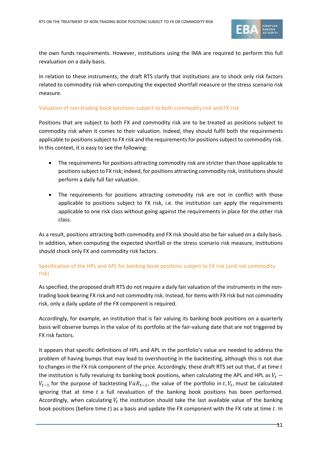

the own funds requirements. However, institutions using the IMA are required to perform this full revaluation on a daily basis.

In relation to these instruments, the draft RTS clarify that institutions are to shock only risk factors related to commodity risk when computing the expected shortfall measure or the stress scenario risk measure.

#### Valuation of non-trading book positions subject to both commodity risk and FX risk

Positions that are subject to both FX and commodity risk are to be treated as positions subject to commodity risk when it comes to their valuation. Indeed, they should fulfil both the requirements applicable to positions subject to FX risk and the requirements for positions subject to commodity risk. In this context, it is easy to see the following:

- The requirements for positions attracting commodity risk are stricter than those applicable to positions subject to FX risk; indeed, for positions attracting commodity risk, institutions should perform a daily full fair valuation.
- The requirements for positions attracting commodity risk are not in conflict with those applicable to positions subject to FX risk, i.e. the institution can apply the requirements applicable to one risk class without going against the requirements in place for the other risk class.

As a result, positions attracting both commodity and FX risk should also be fair valued on a daily basis. In addition, when computing the expected shortfall or the stress scenario risk measure, institutions should shock only FX and commodity risk factors.

# Specification of the HPL and APL for banking book positions subject to FX risk (and not commodity risk)

As specified, the proposed draft RTS do not require a daily fair valuation of the instrumentsin the nontrading book bearing FX risk and not commodity risk. Instead, for items with FX risk but not commodity risk, only a daily update of the FX component is required.

Accordingly, for example, an institution that is fair valuing its banking book positions on a quarterly basis will observe bumps in the value of its portfolio at the fair-valuing date that are not triggered by FX risk factors.

It appears that specific definitions of HPL and APL in the portfolio's value are needed to address the problem of having bumps that may lead to overshooting in the backtesting, although this is not due to changes in the FX risk component of the price. Accordingly, these draft RTS set out that, if at time  $t$ the institution is fully revaluing its banking book positions, when calculating the APL and HPL as  $V_t$  –  $V_{t-1}$  for the purpose of backtesting  $VaR_{t-1}$ , the value of the portfolio in t,  $V_t$ , must be calculated ignoring that at time  $t$  a full revaluation of the banking book positions has been performed. Accordingly, when calculating  $V_t$  the institution should take the last available value of the banking book positions (before time  $t$ ) as a basis and update the FX component with the FX rate at time  $t$ . In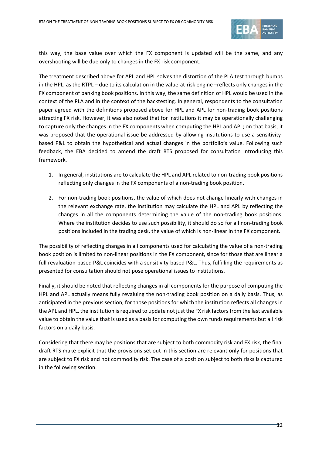

this way, the base value over which the FX component is updated will be the same, and any overshooting will be due only to changes in the FX risk component.

The treatment described above for APL and HPL solves the distortion of the PLA test through bumps in the HPL, as the RTPL – due to its calculation in the value-at-risk engine –reflects only changes in the FX component of banking book positions. In this way, the same definition of HPL would be used in the context of the PLA and in the context of the backtesting. In general, respondents to the consultation paper agreed with the definitions proposed above for HPL and APL for non-trading book positions attracting FX risk. However, it was also noted that for institutions it may be operationally challenging to capture only the changes in the FX components when computing the HPL and APL; on that basis, it was proposed that the operational issue be addressed by allowing institutions to use a sensitivitybased P&L to obtain the hypothetical and actual changes in the portfolio's value. Following such feedback, the EBA decided to amend the draft RTS proposed for consultation introducing this framework.

- 1. In general, institutions are to calculate the HPL and APL related to non-trading book positions reflecting only changes in the FX components of a non-trading book position.
- 2. For non-trading book positions, the value of which does not change linearly with changes in the relevant exchange rate, the institution may calculate the HPL and APL by reflecting the changes in all the components determining the value of the non-trading book positions. Where the institution decides to use such possibility, it should do so for all non-trading book positions included in the trading desk, the value of which is non-linear in the FX component.

The possibility of reflecting changes in all components used for calculating the value of a non-trading book position is limited to non-linear positions in the FX component, since for those that are linear a full revaluation-based P&L coincides with a sensitivity-based P&L. Thus, fulfilling the requirements as presented for consultation should not pose operational issues to institutions.

Finally, it should be noted that reflecting changes in all components for the purpose of computing the HPL and APL actually means fully revaluing the non-trading book position on a daily basis. Thus, as anticipated in the previous section, for those positions for which the institution reflects all changes in the APL and HPL, the institution is required to update not just the FX risk factors from the last available value to obtain the value that is used as a basis for computing the own funds requirements but all risk factors on a daily basis.

Considering that there may be positions that are subject to both commodity risk and FX risk, the final draft RTS make explicit that the provisions set out in this section are relevant only for positions that are subject to FX risk and not commodity risk. The case of a position subject to both risks is captured in the following section.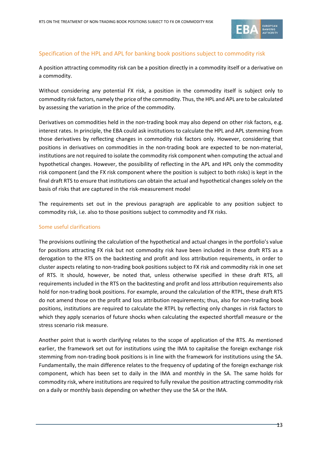

### Specification of the HPL and APL for banking book positions subject to commodity risk

A position attracting commodity risk can be a position directly in a commodity itself or a derivative on a commodity.

Without considering any potential FX risk, a position in the commodity itself is subject only to commodity risk factors, namely the price of the commodity. Thus, the HPL and APL are to be calculated by assessing the variation in the price of the commodity.

Derivatives on commodities held in the non-trading book may also depend on other risk factors, e.g. interest rates. In principle, the EBA could ask institutions to calculate the HPL and APL stemming from those derivatives by reflecting changes in commodity risk factors only. However, considering that positions in derivatives on commodities in the non-trading book are expected to be non-material, institutions are not required to isolate the commodity risk component when computing the actual and hypothetical changes. However, the possibility of reflecting in the APL and HPL only the commodity risk component (and the FX risk component where the position is subject to both risks) is kept in the final draft RTS to ensure that institutions can obtain the actual and hypothetical changes solely on the basis of risks that are captured in the risk-measurement model

The requirements set out in the previous paragraph are applicable to any position subject to commodity risk, i.e. also to those positions subject to commodity and FX risks.

#### Some useful clarifications

The provisions outlining the calculation of the hypothetical and actual changes in the portfolio's value for positions attracting FX risk but not commodity risk have been included in these draft RTS as a derogation to the RTS on the backtesting and profit and loss attribution requirements, in order to cluster aspects relating to non-trading book positions subject to FX risk and commodity risk in one set of RTS. It should, however, be noted that, unless otherwise specified in these draft RTS, all requirements included in the RTS on the backtesting and profit and loss attribution requirements also hold for non-trading book positions. For example, around the calculation of the RTPL, these draft RTS do not amend those on the profit and loss attribution requirements; thus, also for non-trading book positions, institutions are required to calculate the RTPL by reflecting only changes in risk factors to which they apply scenarios of future shocks when calculating the expected shortfall measure or the stress scenario risk measure.

Another point that is worth clarifying relates to the scope of application of the RTS. As mentioned earlier, the framework set out for institutions using the IMA to capitalise the foreign exchange risk stemming from non-trading book positions is in line with the framework for institutions using the SA. Fundamentally, the main difference relates to the frequency of updating of the foreign exchange risk component, which has been set to daily in the IMA and monthly in the SA. The same holds for commodity risk, where institutions are required to fully revalue the position attracting commodity risk on a daily or monthly basis depending on whether they use the SA or the IMA.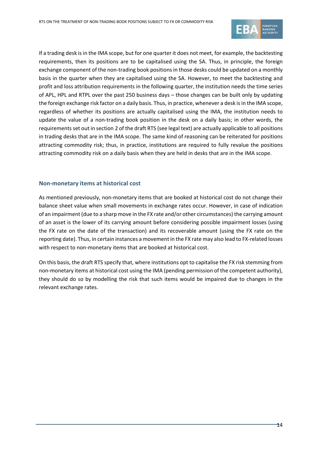

If a trading desk is in the IMA scope, but for one quarter it does not meet, for example, the backtesting requirements, then its positions are to be capitalised using the SA. Thus, in principle, the foreign exchange component of the non-trading book positions in those desks could be updated on a monthly basis in the quarter when they are capitalised using the SA. However, to meet the backtesting and profit and loss attribution requirements in the following quarter, the institution needs the time series of APL, HPL and RTPL over the past 250 business days – those changes can be built only by updating the foreign exchange risk factor on a daily basis. Thus, in practice, whenever a desk is in the IMA scope, regardless of whether its positions are actually capitalised using the IMA, the institution needs to update the value of a non-trading book position in the desk on a daily basis; in other words, the requirements set out in section 2 of the draft RTS (see legal text) are actually applicable to all positions in trading desks that are in the IMA scope. The same kind of reasoning can be reiterated for positions attracting commodity risk; thus, in practice, institutions are required to fully revalue the positions attracting commodity risk on a daily basis when they are held in desks that are in the IMA scope.

#### **Non-monetary items at historical cost**

As mentioned previously, non-monetary items that are booked at historical cost do not change their balance sheet value when small movements in exchange rates occur. However, in case of indication of an impairment (due to a sharp move in the FX rate and/or other circumstances) the carrying amount of an asset is the lower of its carrying amount before considering possible impairment losses (using the FX rate on the date of the transaction) and its recoverable amount (using the FX rate on the reporting date). Thus, in certain instances a movement in the FX rate may also lead to FX-related losses with respect to non-monetary items that are booked at historical cost.

On this basis, the draft RTS specify that, where institutions opt to capitalise the FX risk stemming from non-monetary items at historical cost using the IMA (pending permission of the competent authority), they should do so by modelling the risk that such items would be impaired due to changes in the relevant exchange rates.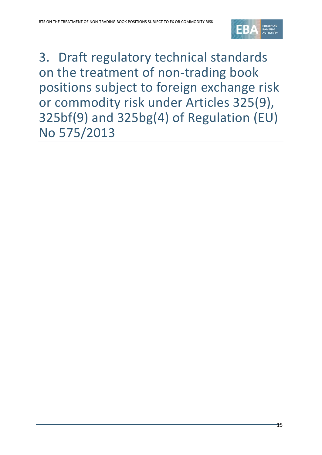

<span id="page-14-0"></span>3. Draft regulatory technical standards on the treatment of non-trading book positions subject to foreign exchange risk or commodity risk under Articles 325(9), 325bf(9) and 325bg(4) of Regulation (EU) No 575/2013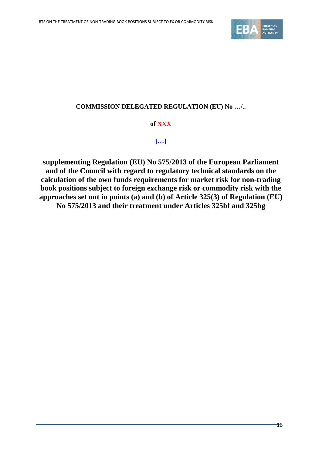

# **COMMISSION DELEGATED REGULATION (EU) No …/..**

# **of XXX**

# **[…]**

**supplementing Regulation (EU) No 575/2013 of the European Parliament and of the Council with regard to regulatory technical standards on the calculation of the own funds requirements for market risk for non-trading book positions subject to foreign exchange risk or commodity risk with the approaches set out in points (a) and (b) of Article 325(3) of Regulation (EU) No 575/2013 and their treatment under Articles 325bf and 325bg**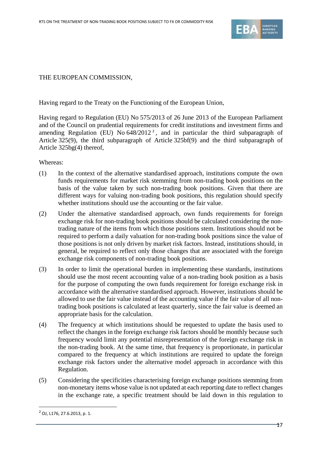

## THE EUROPEAN COMMISSION,

Having regard to the Treaty on the Functioning of the European Union,

Having regard to Regulation (EU) No 575/2013 of 26 June 2013 of the European Parliament and of the Council on prudential requirements for credit institutions and investment firms and amending Regulation (EU) No 648/[2](#page-16-0)012<sup>2</sup>, and in particular the third subparagraph of Article 325(9), the third subparagraph of Article 325bf(9) and the third subparagraph of Article 325bg(4) thereof,

Whereas:

- (1) In the context of the alternative standardised approach, institutions compute the own funds requirements for market risk stemming from non-trading book positions on the basis of the value taken by such non-trading book positions. Given that there are different ways for valuing non-trading book positions, this regulation should specify whether institutions should use the accounting or the fair value.
- (2) Under the alternative standardised approach, own funds requirements for foreign exchange risk for non-trading book positions should be calculated considering the nontrading nature of the items from which those positions stem. Institutions should not be required to perform a daily valuation for non-trading book positions since the value of those positions is not only driven by market risk factors. Instead, institutions should, in general, be required to reflect only those changes that are associated with the foreign exchange risk components of non-trading book positions.
- (3) In order to limit the operational burden in implementing these standards, institutions should use the most recent accounting value of a non-trading book position as a basis for the purpose of computing the own funds requirement for foreign exchange risk in accordance with the alternative standardised approach. However, institutions should be allowed to use the fair value instead of the accounting value if the fair value of all nontrading book positions is calculated at least quarterly, since the fair value is deemed an appropriate basis for the calculation.
- (4) The frequency at which institutions should be requested to update the basis used to reflect the changes in the foreign exchange risk factors should be monthly because such frequency would limit any potential misrepresentation of the foreign exchange risk in the non-trading book. At the same time, that frequency is proportionate, in particular compared to the frequency at which institutions are required to update the foreign exchange risk factors under the alternative model approach in accordance with this Regulation.
- (5) Considering the specificities characterising foreign exchange positions stemming from non-monetary items whose value is not updated at each reporting date to reflect changes in the exchange rate, a specific treatment should be laid down in this regulation to

1

<span id="page-16-0"></span><sup>2</sup> OJ, L176, 27.6.2013, p. 1.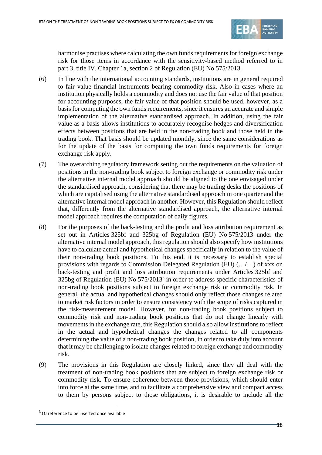

harmonise practises where calculating the own funds requirements for foreign exchange risk for those items in accordance with the sensitivity-based method referred to in part 3, title IV, Chapter 1a, section 2 of Regulation (EU) No 575/2013.

- (6) In line with the international accounting standards, institutions are in general required to fair value financial instruments bearing commodity risk. Also in cases where an institution physically holds a commodity and does not use the fair value of that position for accounting purposes, the fair value of that position should be used, however, as a basis for computing the own funds requirements, since it ensures an accurate and simple implementation of the alternative standardised approach. In addition, using the fair value as a basis allows institutions to accurately recognise hedges and diversification effects between positions that are held in the non-trading book and those held in the trading book. That basis should be updated monthly, since the same considerations as for the update of the basis for computing the own funds requirements for foreign exchange risk apply.
- (7) The overarching regulatory framework setting out the requirements on the valuation of positions in the non-trading book subject to foreign exchange or commodity risk under the alternative internal model approach should be aligned to the one envisaged under the standardised approach, considering that there may be trading desks the positions of which are capitalised using the alternative standardised approach in one quarter and the alternative internal model approach in another. However, this Regulation should reflect that, differently from the alternative standardised approach, the alternative internal model approach requires the computation of daily figures.
- (8) For the purposes of the back-testing and the profit and loss attribution requirement as set out in Articles 325bf and 325bg of Regulation (EU) No 575/2013 under the alternative internal model approach, this regulation should also specify how institutions have to calculate actual and hypothetical changes specifically in relation to the value of their non-trading book positions. To this end, it is necessary to establish special provisions with regards to Commission Delegated Regulation (EU) (…/…) of xxx on back-testing and profit and loss attribution requirements under Articles 325bf and 325bg of Regulation (EU) No 575/2013[3](#page-17-0) in order to address specific characteristics of non-trading book positions subject to foreign exchange risk or commodity risk. In general, the actual and hypothetical changes should only reflect those changes related to market risk factors in order to ensure consistency with the scope of risks captured in the risk-measurement model. However, for non-trading book positions subject to commodity risk and non-trading book positions that do not change linearly with movements in the exchange rate, this Regulation should also allow institutions to reflect in the actual and hypothetical changes the changes related to all components determining the value of a non-trading book position, in order to take duly into account that it may be challenging to isolate changes related to foreign exchange and commodity risk.
- (9) The provisions in this Regulation are closely linked, since they all deal with the treatment of non-trading book positions that are subject to foreign exchange risk or commodity risk. To ensure coherence between those provisions, which should enter into force at the same time, and to facilitate a comprehensive view and compact access to them by persons subject to those obligations, it is desirable to include all the

1

<span id="page-17-0"></span><sup>3</sup> OJ reference to be inserted once available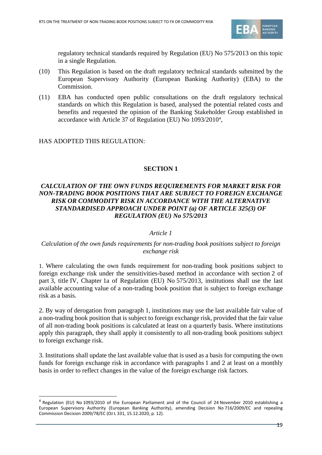

regulatory technical standards required by Regulation (EU) No 575/2013 on this topic in a single Regulation.

- (10) This Regulation is based on the draft regulatory technical standards submitted by the European Supervisory Authority (European Banking Authority) (EBA) to the Commission.
- (11) EBA has conducted open public consultations on the draft regulatory technical standards on which this Regulation is based, analysed the potential related costs and benefits and requested the opinion of the Banking Stakeholder Group established in accordance with Article 37 of Regulation (EU) No 1093/2010[4](#page-18-0) ,

### HAS ADOPTED THIS REGULATION:

.

# **SECTION 1**

# *CALCULATION OF THE OWN FUNDS REQUIREMENTS FOR MARKET RISK FOR NON-TRADING BOOK POSITIONS THAT ARE SUBJECT TO FOREIGN EXCHANGE RISK OR COMMODITY RISK IN ACCORDANCE WITH THE ALTERNATIVE STANDARDISED APPROACH UNDER POINT (a) OF ARTICLE 325(3) OF REGULATION (EU) No 575/2013*

#### *Article 1*

### *Calculation of the own funds requirements for non-trading book positions subject to foreign exchange risk*

1. Where calculating the own funds requirement for non-trading book positions subject to foreign exchange risk under the sensitivities-based method in accordance with section 2 of part 3, title IV, Chapter 1a of Regulation (EU) No 575/2013, institutions shall use the last available accounting value of a non-trading book position that is subject to foreign exchange risk as a basis.

2. By way of derogation from paragraph 1, institutions may use the last available fair value of a non-trading book position that is subject to foreign exchange risk, provided that the fair value of all non-trading book positions is calculated at least on a quarterly basis. Where institutions apply this paragraph, they shall apply it consistently to all non-trading book positions subject to foreign exchange risk.

3. Institutions shall update the last available value that is used as a basis for computing the own funds for foreign exchange risk in accordance with paragraphs 1 and 2 at least on a monthly basis in order to reflect changes in the value of the foreign exchange risk factors.

<span id="page-18-0"></span><sup>4</sup> Regulation (EU) No 1093/2010 of the European Parliament and of the Council of 24 November 2010 establishing a European Supervisory Authority (European Banking Authority), amending Decision No 716/2009/EC and repealing Commission Decision 2009/78/EC (OJ L 331, 15.12.2020, p. 12).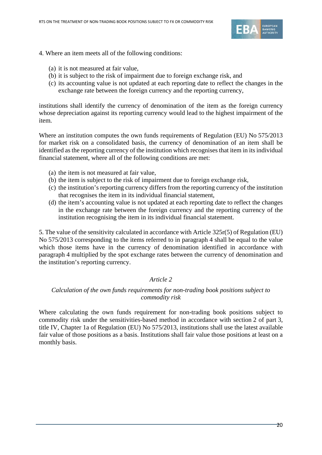

- 4. Where an item meets all of the following conditions:
	- (a) it is not measured at fair value,
	- (b) it is subject to the risk of impairment due to foreign exchange risk, and
	- (c) its accounting value is not updated at each reporting date to reflect the changes in the exchange rate between the foreign currency and the reporting currency,

institutions shall identify the currency of denomination of the item as the foreign currency whose depreciation against its reporting currency would lead to the highest impairment of the item.

Where an institution computes the own funds requirements of Regulation (EU) No 575/2013 for market risk on a consolidated basis, the currency of denomination of an item shall be identified as the reporting currency of the institution which recognises that item in its individual financial statement, where all of the following conditions are met:

- (a) the item is not measured at fair value,
- (b) the item is subject to the risk of impairment due to foreign exchange risk,
- (c) the institution's reporting currency differs from the reporting currency of the institution that recognises the item in its individual financial statement,
- (d) the item's accounting value is not updated at each reporting date to reflect the changes in the exchange rate between the foreign currency and the reporting currency of the institution recognising the item in its individual financial statement.

5. The value of the sensitivity calculated in accordance with Article 325r(5) of Regulation (EU) No 575/2013 corresponding to the items referred to in paragraph 4 shall be equal to the value which those items have in the currency of denomination identified in accordance with paragraph 4 multiplied by the spot exchange rates between the currency of denomination and the institution's reporting currency.

#### *Article 2*

# *Calculation of the own funds requirements for non-trading book positions subject to commodity risk*

Where calculating the own funds requirement for non-trading book positions subject to commodity risk under the sensitivities-based method in accordance with section 2 of part 3, title IV, Chapter 1a of Regulation (EU) No 575/2013, institutions shall use the latest available fair value of those positions as a basis. Institutions shall fair value those positions at least on a monthly basis.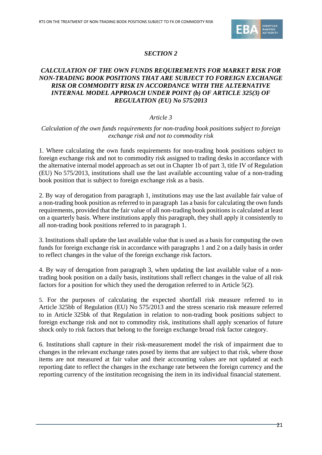

# *SECTION 2*

# *CALCULATION OF THE OWN FUNDS REQUIREMENTS FOR MARKET RISK FOR NON-TRADING BOOK POSITIONS THAT ARE SUBJECT TO FOREIGN EXCHANGE RISK OR COMMODITY RISK IN ACCORDANCE WITH THE ALTERNATIVE INTERNAL MODEL APPROACH UNDER POINT (b) OF ARTICLE 325(3) OF REGULATION (EU) No 575/2013*

# *Article 3*

### *Calculation of the own funds requirements for non-trading book positions subject to foreign exchange risk and not to commodity risk*

1. Where calculating the own funds requirements for non-trading book positions subject to foreign exchange risk and not to commodity risk assigned to trading desks in accordance with the alternative internal model approach as set out in Chapter 1b of part 3, title IV of Regulation (EU) No 575/2013, institutions shall use the last available accounting value of a non-trading book position that is subject to foreign exchange risk as a basis.

2. By way of derogation from paragraph 1, institutions may use the last available fair value of a non-trading book position as referred to in paragraph 1as a basis for calculating the own funds requirements, provided that the fair value of all non-trading book positions is calculated at least on a quarterly basis. Where institutions apply this paragraph, they shall apply it consistently to all non-trading book positions referred to in paragraph 1.

3. Institutions shall update the last available value that is used as a basis for computing the own funds for foreign exchange risk in accordance with paragraphs 1 and 2 on a daily basis in order to reflect changes in the value of the foreign exchange risk factors.

4. By way of derogation from paragraph 3, when updating the last available value of a nontrading book position on a daily basis, institutions shall reflect changes in the value of all risk factors for a position for which they used the derogation referred to in Article 5(2).

5. For the purposes of calculating the expected shortfall risk measure referred to in Article 325bb of Regulation (EU) No 575/2013 and the stress scenario risk measure referred to in Article 325bk of that Regulation in relation to non-trading book positions subject to foreign exchange risk and not to commodity risk, institutions shall apply scenarios of future shock only to risk factors that belong to the foreign exchange broad risk factor category.

6. Institutions shall capture in their risk-measurement model the risk of impairment due to changes in the relevant exchange rates posed by items that are subject to that risk, where those items are not measured at fair value and their accounting values are not updated at each reporting date to reflect the changes in the exchange rate between the foreign currency and the reporting currency of the institution recognising the item in its individual financial statement.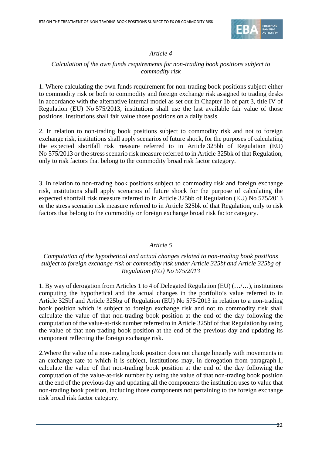

# *Article 4*

# *Calculation of the own funds requirements for non-trading book positions subject to commodity risk*

1. Where calculating the own funds requirement for non-trading book positions subject either to commodity risk or both to commodity and foreign exchange risk assigned to trading desks in accordance with the alternative internal model as set out in Chapter 1b of part 3, title IV of Regulation (EU) No 575/2013, institutions shall use the last available fair value of those positions. Institutions shall fair value those positions on a daily basis.

2. In relation to non-trading book positions subject to commodity risk and not to foreign exchange risk, institutions shall apply scenarios of future shock, for the purposes of calculating the expected shortfall risk measure referred to in Article 325bb of Regulation (EU) No 575/2013 or the stress scenario risk measure referred to in Article 325bk of that Regulation, only to risk factors that belong to the commodity broad risk factor category.

3. In relation to non-trading book positions subject to commodity risk and foreign exchange risk, institutions shall apply scenarios of future shock for the purpose of calculating the expected shortfall risk measure referred to in Article 325bb of Regulation (EU) No 575/2013 or the stress scenario risk measure referred to in Article 325bk of that Regulation, only to risk factors that belong to the commodity or foreign exchange broad risk factor category.

# *Article 5*

## *Computation of the hypothetical and actual changes related to non-trading book positions subject to foreign exchange risk or commodity risk under Article 325bf and Article 325bg of Regulation (EU) No 575/2013*

1. By way of derogation from Articles 1 to 4 of Delegated Regulation (EU) (…/…), institutions computing the hypothetical and the actual changes in the portfolio's value referred to in Article 325bf and Article 325bg of Regulation (EU) No 575/2013 in relation to a non-trading book position which is subject to foreign exchange risk and not to commodity risk shall calculate the value of that non-trading book position at the end of the day following the computation of the value-at-risk number referred to in Article 325bf of that Regulation by using the value of that non-trading book position at the end of the previous day and updating its component reflecting the foreign exchange risk.

2.Where the value of a non-trading book position does not change linearly with movements in an exchange rate to which it is subject, institutions may, in derogation from paragraph 1, calculate the value of that non-trading book position at the end of the day following the computation of the value-at-risk number by using the value of that non-trading book position at the end of the previous day and updating all the components the institution uses to value that non-trading book position, including those components not pertaining to the foreign exchange risk broad risk factor category.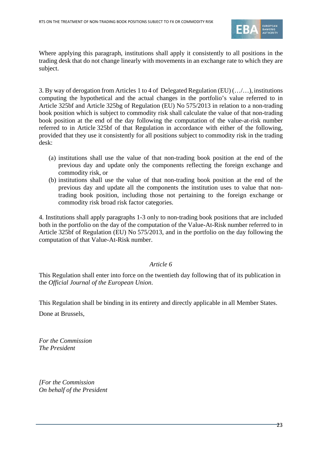

Where applying this paragraph, institutions shall apply it consistently to all positions in the trading desk that do not change linearly with movements in an exchange rate to which they are subject.

3. By way of derogation from Articles 1 to 4 of Delegated Regulation (EU) (…/…), institutions computing the hypothetical and the actual changes in the portfolio's value referred to in Article 325bf and Article 325bg of Regulation (EU) No 575/2013 in relation to a non-trading book position which is subject to commodity risk shall calculate the value of that non-trading book position at the end of the day following the computation of the value-at-risk number referred to in Article 325bf of that Regulation in accordance with either of the following, provided that they use it consistently for all positions subject to commodity risk in the trading desk:

- (a) institutions shall use the value of that non-trading book position at the end of the previous day and update only the components reflecting the foreign exchange and commodity risk, or
- (b) institutions shall use the value of that non-trading book position at the end of the previous day and update all the components the institution uses to value that nontrading book position, including those not pertaining to the foreign exchange or commodity risk broad risk factor categories.

4. Institutions shall apply paragraphs 1-3 only to non-trading book positions that are included both in the portfolio on the day of the computation of the Value-At-Risk number referred to in Article 325bf of Regulation (EU) No 575/2013, and in the portfolio on the day following the computation of that Value-At-Risk number.

#### *Article 6*

This Regulation shall enter into force on the twentieth day following that of its publication in the *Official Journal of the European Union*.

This Regulation shall be binding in its entirety and directly applicable in all Member States.

Done at Brussels,

*For the Commission The President*

*[For the Commission On behalf of the President*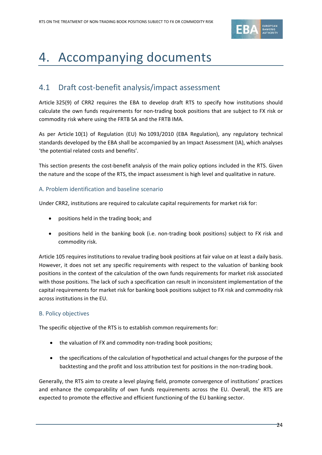

# <span id="page-23-0"></span>4. Accompanying documents

# <span id="page-23-1"></span>4.1 Draft cost-benefit analysis/impact assessment

Article 325(9) of CRR2 requires the EBA to develop draft RTS to specify how institutions should calculate the own funds requirements for non-trading book positions that are subject to FX risk or commodity risk where using the FRTB SA and the FRTB IMA.

As per Article 10(1) of Regulation (EU) No 1093/2010 (EBA Regulation), any regulatory technical standards developed by the EBA shall be accompanied by an Impact Assessment (IA), which analyses 'the potential related costs and benefits'.

This section presents the cost-benefit analysis of the main policy options included in the RTS. Given the nature and the scope of the RTS, the impact assessment is high level and qualitative in nature.

#### A. Problem identification and baseline scenario

Under CRR2, institutions are required to calculate capital requirements for market risk for:

- positions held in the trading book; and
- positions held in the banking book (i.e. non-trading book positions) subject to FX risk and commodity risk.

Article 105 requires institutions to revalue trading book positions at fair value on at least a daily basis. However, it does not set any specific requirements with respect to the valuation of banking book positions in the context of the calculation of the own funds requirements for market risk associated with those positions. The lack of such a specification can result in inconsistent implementation of the capital requirements for market risk for banking book positions subject to FX risk and commodity risk across institutions in the EU.

#### B. Policy objectives

The specific objective of the RTS is to establish common requirements for:

- the valuation of FX and commodity non-trading book positions;
- the specifications of the calculation of hypothetical and actual changes for the purpose of the backtesting and the profit and loss attribution test for positions in the non-trading book.

Generally, the RTS aim to create a level playing field, promote convergence of institutions' practices and enhance the comparability of own funds requirements across the EU. Overall, the RTS are expected to promote the effective and efficient functioning of the EU banking sector.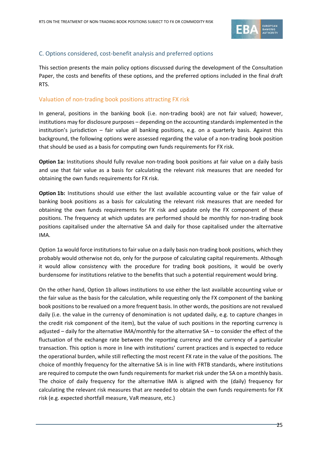

## C. Options considered, cost-benefit analysis and preferred options

This section presents the main policy options discussed during the development of the Consultation Paper, the costs and benefits of these options, and the preferred options included in the final draft RTS.

#### Valuation of non-trading book positions attracting FX risk

In general, positions in the banking book (i.e. non-trading book) are not fair valued; however, institutions may for disclosure purposes – depending on the accounting standards implemented in the institution's jurisdiction – fair value all banking positions, e.g. on a quarterly basis. Against this background, the following options were assessed regarding the value of a non-trading book position that should be used as a basis for computing own funds requirements for FX risk.

**Option 1a:** Institutions should fully revalue non-trading book positions at fair value on a daily basis and use that fair value as a basis for calculating the relevant risk measures that are needed for obtaining the own funds requirements for FX risk.

**Option 1b:** Institutions should use either the last available accounting value or the fair value of banking book positions as a basis for calculating the relevant risk measures that are needed for obtaining the own funds requirements for FX risk and update only the FX component of these positions. The frequency at which updates are performed should be monthly for non-trading book positions capitalised under the alternative SA and daily for those capitalised under the alternative IMA.

Option 1a would force institutions to fair value on a daily basis non-trading book positions, which they probably would otherwise not do, only for the purpose of calculating capital requirements. Although it would allow consistency with the procedure for trading book positions, it would be overly burdensome for institutions relative to the benefits that such a potential requirement would bring.

On the other hand, Option 1b allows institutions to use either the last available accounting value or the fair value as the basis for the calculation, while requesting only the FX component of the banking book positions to be revalued on a more frequent basis. In other words, the positions are not revalued daily (i.e. the value in the currency of denomination is not updated daily, e.g. to capture changes in the credit risk component of the item), but the value of such positions in the reporting currency is adjusted – daily for the alternative IMA/monthly for the alternative SA – to consider the effect of the fluctuation of the exchange rate between the reporting currency and the currency of a particular transaction. This option is more in line with institutions' current practices and is expected to reduce the operational burden, while still reflecting the most recent FX rate in the value of the positions. The choice of monthly frequency for the alternative SA is in line with FRTB standards, where institutions are required to compute the own funds requirements for market risk under the SA on a monthly basis. The choice of daily frequency for the alternative IMA is aligned with the (daily) frequency for calculating the relevant risk measures that are needed to obtain the own funds requirements for FX risk (e.g. expected shortfall measure, VaR measure, etc.)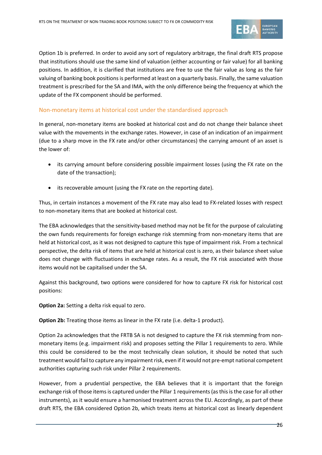

Option 1b is preferred. In order to avoid any sort of regulatory arbitrage, the final draft RTS propose that institutions should use the same kind of valuation (either accounting or fair value) for all banking positions. In addition, it is clarified that institutions are free to use the fair value as long as the fair valuing of banking book positions is performed at least on a quarterly basis. Finally, the same valuation treatment is prescribed for the SA and IMA, with the only difference being the frequency at which the update of the FX component should be performed.

# Non-monetary items at historical cost under the standardised approach

In general, non-monetary items are booked at historical cost and do not change their balance sheet value with the movements in the exchange rates. However, in case of an indication of an impairment (due to a sharp move in the FX rate and/or other circumstances) the carrying amount of an asset is the lower of:

- its carrying amount before considering possible impairment losses (using the FX rate on the date of the transaction);
- its recoverable amount (using the FX rate on the reporting date).

Thus, in certain instances a movement of the FX rate may also lead to FX-related losses with respect to non-monetary items that are booked at historical cost.

The EBA acknowledges that the sensitivity-based method may not be fit for the purpose of calculating the own funds requirements for foreign exchange risk stemming from non-monetary items that are held at historical cost, as it was not designed to capture this type of impairment risk. From a technical perspective, the delta risk of items that are held at historical cost is zero, as their balance sheet value does not change with fluctuations in exchange rates. As a result, the FX risk associated with those items would not be capitalised under the SA.

Against this background, two options were considered for how to capture FX risk for historical cost positions:

**Option 2a:** Setting a delta risk equal to zero.

**Option 2b:** Treating those items as linear in the FX rate (i.e. delta-1 product).

Option 2a acknowledges that the FRTB SA is not designed to capture the FX risk stemming from nonmonetary items (e.g. impairment risk) and proposes setting the Pillar 1 requirements to zero. While this could be considered to be the most technically clean solution, it should be noted that such treatment would fail to capture any impairment risk, even if it would not pre-empt national competent authorities capturing such risk under Pillar 2 requirements.

However, from a prudential perspective, the EBA believes that it is important that the foreign exchange risk of those items is captured under the Pillar 1 requirements (as this is the case for all other instruments), as it would ensure a harmonised treatment across the EU. Accordingly, as part of these draft RTS, the EBA considered Option 2b, which treats items at historical cost as linearly dependent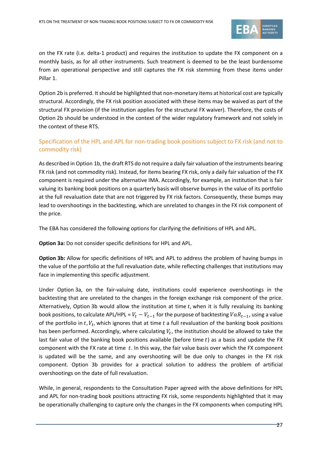

on the FX rate (i.e. delta-1 product) and requires the institution to update the FX component on a monthly basis, as for all other instruments. Such treatment is deemed to be the least burdensome from an operational perspective and still captures the FX risk stemming from these items under Pillar 1.

Option 2b is preferred. It should be highlighted that non-monetary items at historical cost are typically structural. Accordingly, the FX risk position associated with these items may be waived as part of the structural FX provision (if the institution applies for the structural FX waiver). Therefore, the costs of Option 2b should be understood in the context of the wider regulatory framework and not solely in the context of these RTS.

# Specification of the HPL and APL for non-trading book positions subject to FX risk (and not to commodity risk)

As described in Option 1b, the draft RTS do not require a daily fair valuation of the instruments bearing FX risk (and not commodity risk). Instead, for items bearing FX risk, only a daily fair valuation of the FX component is required under the alternative IMA. Accordingly, for example, an institution that is fair valuing its banking book positions on a quarterly basis will observe bumps in the value of its portfolio at the full revaluation date that are not triggered by FX risk factors. Consequently, these bumps may lead to overshootings in the backtesting, which are unrelated to changes in the FX risk component of the price.

The EBA has considered the following options for clarifying the definitions of HPL and APL.

**Option 3a:** Do not consider specific definitions for HPL and APL.

**Option 3b:** Allow for specific definitions of HPL and APL to address the problem of having bumps in the value of the portfolio at the full revaluation date, while reflecting challenges that institutions may face in implementing this specific adjustment.

Under Option 3a, on the fair-valuing date, institutions could experience overshootings in the backtesting that are unrelated to the changes in the foreign exchange risk component of the price. Alternatively, Option 3b would allow the institution at time  $t$ , when it is fully revaluing its banking book positions, to calculate APL/HPL =  $V_t - V_{t-1}$  for the purpose of backtesting  $VaR_{t-1}$ , using a value of the portfolio in  $t$ ,  $V_t$ , which ignores that at time  $t$  a full revaluation of the banking book positions has been performed. Accordingly, where calculating  $V_t$ , the institution should be allowed to take the last fair value of the banking book positions available (before time  $t$ ) as a basis and update the FX component with the FX rate at time  $t$ . In this way, the fair value basis over which the FX component is updated will be the same, and any overshooting will be due only to changes in the FX risk component. Option 3b provides for a practical solution to address the problem of artificial overshootings on the date of full revaluation.

While, in general, respondents to the Consultation Paper agreed with the above definitions for HPL and APL for non-trading book positions attracting FX risk, some respondents highlighted that it may be operationally challenging to capture only the changes in the FX components when computing HPL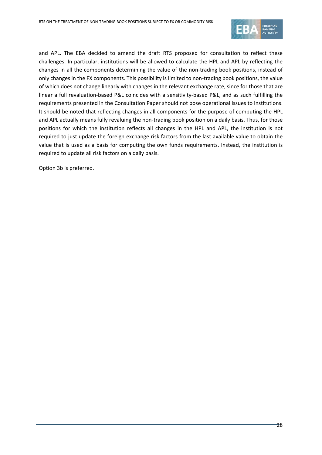

and APL. The EBA decided to amend the draft RTS proposed for consultation to reflect these challenges. In particular, institutions will be allowed to calculate the HPL and APL by reflecting the changes in all the components determining the value of the non-trading book positions, instead of only changes in the FX components. This possibility is limited to non-trading book positions, the value of which does not change linearly with changes in the relevant exchange rate, since for those that are linear a full revaluation-based P&L coincides with a sensitivity-based P&L, and as such fulfilling the requirements presented in the Consultation Paper should not pose operational issues to institutions. It should be noted that reflecting changes in all components for the purpose of computing the HPL and APL actually means fully revaluing the non-trading book position on a daily basis. Thus, for those positions for which the institution reflects all changes in the HPL and APL, the institution is not required to just update the foreign exchange risk factors from the last available value to obtain the value that is used as a basis for computing the own funds requirements. Instead, the institution is required to update all risk factors on a daily basis.

Option 3b is preferred.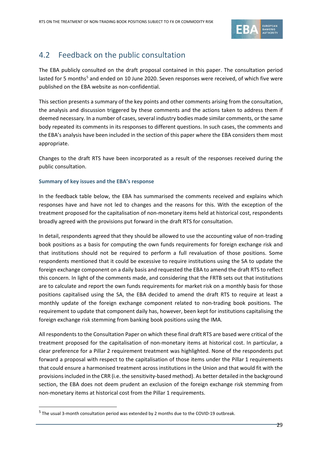

# <span id="page-28-0"></span>4.2 Feedback on the public consultation

The EBA publicly consulted on the draft proposal contained in this paper. The consultation period lasted for [5](#page-28-1) months<sup>5</sup> and ended on 10 June 2020. Seven responses were received, of which five were published on the EBA website as non-confidential.

This section presents a summary of the key points and other comments arising from the consultation, the analysis and discussion triggered by these comments and the actions taken to address them if deemed necessary. In a number of cases, several industry bodies made similar comments, or the same body repeated its comments in its responses to different questions. In such cases, the comments and the EBA's analysis have been included in the section of this paper where the EBA considers them most appropriate.

Changes to the draft RTS have been incorporated as a result of the responses received during the public consultation.

#### **Summary of key issues and the EBA's response**

In the feedback table below, the EBA has summarised the comments received and explains which responses have and have not led to changes and the reasons for this. With the exception of the treatment proposed for the capitalisation of non-monetary items held at historical cost, respondents broadly agreed with the provisions put forward in the draft RTS for consultation.

In detail, respondents agreed that they should be allowed to use the accounting value of non-trading book positions as a basis for computing the own funds requirements for foreign exchange risk and that institutions should not be required to perform a full revaluation of those positions. Some respondents mentioned that it could be excessive to require institutions using the SA to update the foreign exchange component on a daily basis and requested the EBA to amend the draft RTS to reflect this concern. In light of the comments made, and considering that the FRTB sets out that institutions are to calculate and report the own funds requirements for market risk on a monthly basis for those positions capitalised using the SA, the EBA decided to amend the draft RTS to require at least a monthly update of the foreign exchange component related to non-trading book positions. The requirement to update that component daily has, however, been kept for institutions capitalising the foreign exchange risk stemming from banking book positions using the IMA.

All respondents to the Consultation Paper on which these final draft RTS are based were critical of the treatment proposed for the capitalisation of non-monetary items at historical cost. In particular, a clear preference for a Pillar 2 requirement treatment was highlighted. None of the respondents put forward a proposal with respect to the capitalisation of those items under the Pillar 1 requirements that could ensure a harmonised treatment across institutions in the Union and that would fit with the provisions included in the CRR (i.e. the sensitivity-based method). As better detailed in the background section, the EBA does not deem prudent an exclusion of the foreign exchange risk stemming from non-monetary items at historical cost from the Pillar 1 requirements.

1

<span id="page-28-1"></span><sup>5</sup> The usual 3-month consultation period was extended by 2 months due to the COVID-19 outbreak.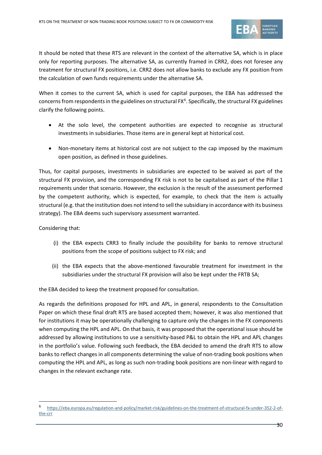

It should be noted that these RTS are relevant in the context of the alternative SA, which is in place only for reporting purposes. The alternative SA, as currently framed in CRR2, does not foresee any treatment for structural FX positions, i.e. CRR2 does not allow banks to exclude any FX position from the calculation of own funds requirements under the alternative SA.

When it comes to the current SA, which is used for capital purposes, the EBA has addressed the concerns from respondents in the guidelines on structural  $FX^6$  $FX^6$ . Specifically, the structural FX guidelines clarify the following points.

- At the solo level, the competent authorities are expected to recognise as structural investments in subsidiaries. Those items are in general kept at historical cost.
- Non-monetary items at historical cost are not subject to the cap imposed by the maximum open position, as defined in those guidelines.

Thus, for capital purposes, investments in subsidiaries are expected to be waived as part of the structural FX provision, and the corresponding FX risk is not to be capitalised as part of the Pillar 1 requirements under that scenario. However, the exclusion is the result of the assessment performed by the competent authority, which is expected, for example, to check that the item is actually structural (e.g. that the institution does not intend to sell the subsidiary in accordance with its business strategy). The EBA deems such supervisory assessment warranted.

Considering that:

1

- (i) the EBA expects CRR3 to finally include the possibility for banks to remove structural positions from the scope of positions subject to FX risk; and
- (ii) the EBA expects that the above-mentioned favourable treatment for investment in the subsidiaries under the structural FX provision will also be kept under the FRTB SA;

the EBA decided to keep the treatment proposed for consultation.

As regards the definitions proposed for HPL and APL, in general, respondents to the Consultation Paper on which these final draft RTS are based accepted them; however, it was also mentioned that for institutions it may be operationally challenging to capture only the changes in the FX components when computing the HPL and APL. On that basis, it was proposed that the operational issue should be addressed by allowing institutions to use a sensitivity-based P&L to obtain the HPL and APL changes in the portfolio's value. Following such feedback, the EBA decided to amend the draft RTS to allow banks to reflect changes in all components determining the value of non-trading book positions when computing the HPL and APL, as long as such non-trading book positions are non-linear with regard to changes in the relevant exchange rate.

<span id="page-29-0"></span><sup>6</sup> [https://eba.europa.eu/regulation-and-policy/market-risk/guidelines-on-the-treatment-of-structural-fx-under-352-2-of](https://eba.europa.eu/regulation-and-policy/market-risk/guidelines-on-the-treatment-of-structural-fx-under-352-2-of-the-crr)[the-crr](https://eba.europa.eu/regulation-and-policy/market-risk/guidelines-on-the-treatment-of-structural-fx-under-352-2-of-the-crr)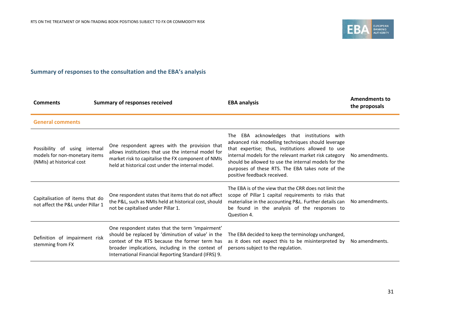

# **Summary of responses to the consultation and the EBA's analysis**

| <b>Comments</b>                                                                             | <b>Summary of responses received</b>                                                                                                                                                                                                                                  | <b>EBA analysis</b>                                                                                                                                                                                                                                                                                                                                           | <b>Amendments to</b><br>the proposals |
|---------------------------------------------------------------------------------------------|-----------------------------------------------------------------------------------------------------------------------------------------------------------------------------------------------------------------------------------------------------------------------|---------------------------------------------------------------------------------------------------------------------------------------------------------------------------------------------------------------------------------------------------------------------------------------------------------------------------------------------------------------|---------------------------------------|
| <b>General comments</b>                                                                     |                                                                                                                                                                                                                                                                       |                                                                                                                                                                                                                                                                                                                                                               |                                       |
| Possibility of using internal<br>models for non-monetary items<br>(NMIs) at historical cost | One respondent agrees with the provision that<br>allows institutions that use the internal model for<br>market risk to capitalise the FX component of NMIs<br>held at historical cost under the internal model.                                                       | EBA acknowledges that institutions with<br>The<br>advanced risk modelling techniques should leverage<br>that expertise; thus, institutions allowed to use<br>internal models for the relevant market risk category<br>should be allowed to use the internal models for the<br>purposes of these RTS. The EBA takes note of the<br>positive feedback received. | No amendments.                        |
| Capitalisation of items that do<br>not affect the P&L under Pillar 1                        | One respondent states that items that do not affect<br>the P&L, such as NMIs held at historical cost, should<br>not be capitalised under Pillar 1.                                                                                                                    | The FBA is of the view that the CRR does not limit the<br>scope of Pillar 1 capital requirements to risks that<br>materialise in the accounting P&L. Further details can<br>be found in the analysis of the responses to<br>Question 4.                                                                                                                       | No amendments.                        |
| Definition of impairment risk<br>stemming from FX                                           | One respondent states that the term 'impairment'<br>should be replaced by 'diminution of value' in the<br>context of the RTS because the former term has<br>broader implications, including in the context of<br>International Financial Reporting Standard (IFRS) 9. | The EBA decided to keep the terminology unchanged,<br>as it does not expect this to be misinterpreted by<br>persons subject to the regulation.                                                                                                                                                                                                                | No amendments.                        |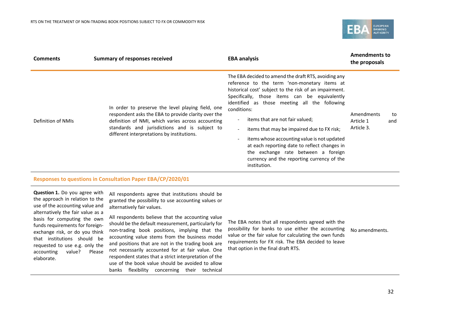

| <b>Comments</b>    | <b>Summary of responses received</b>                                                                                                                                                                                                                         | <b>EBA analysis</b>                                                                                                                                                                                                                                                                                                                                                                                                                                                                                                                                                                              | <b>Amendments to</b><br>the proposals |           |
|--------------------|--------------------------------------------------------------------------------------------------------------------------------------------------------------------------------------------------------------------------------------------------------------|--------------------------------------------------------------------------------------------------------------------------------------------------------------------------------------------------------------------------------------------------------------------------------------------------------------------------------------------------------------------------------------------------------------------------------------------------------------------------------------------------------------------------------------------------------------------------------------------------|---------------------------------------|-----------|
| Definition of NMIs | In order to preserve the level playing field, one<br>respondent asks the EBA to provide clarity over the<br>definition of NMI, which varies across accounting<br>standards and jurisdictions and is subject to<br>different interpretations by institutions. | The EBA decided to amend the draft RTS, avoiding any<br>reference to the term 'non-monetary items at<br>historical cost' subject to the risk of an impairment.<br>Specifically, those items can be equivalently<br>identified as those meeting all the following<br>conditions:<br>items that are not fair valued;<br>items that may be impaired due to FX risk;<br>$\overline{\phantom{a}}$<br>items whose accounting value is not updated<br>at each reporting date to reflect changes in<br>the exchange rate between a foreign<br>currency and the reporting currency of the<br>institution. | Amendments<br>Article 1<br>Article 3. | to<br>and |

#### **Responses to questions in Consultation Paper EBA/CP/2020/01**

**Question 1.** Do you agree with the approach in relation to the use of the accounting value and alternatively the fair value as a basis for computing the own funds requirements for foreignexchange risk, or do you think that institutions should be requested to use e.g. only the accounting value? Please elaborate.

All respondents agree that institutions should be granted the possibility to use accounting values or alternatively fair values.

All respondents believe that the accounting value should be the default measurement, particularly for non-trading book positions, implying that the accounting value stems from the business model and positions that are not in the trading book are not necessarily accounted for at fair value. One respondent states that a strict interpretation of the use of the book value should be avoided to allow banks flexibility concerning their technical

The EBA notes that all respondents agreed with the possibility for banks to use either the accounting value or the fair value for calculating the own funds requirements for FX risk. The EBA decided to leave that option in the final draft RTS. No amendments.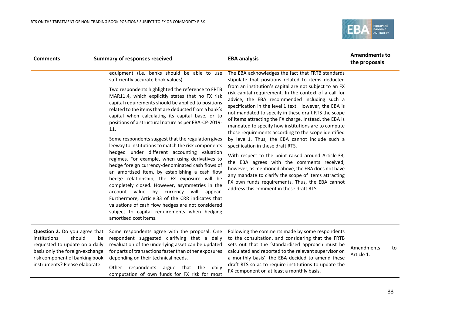

| <b>Comments</b>                                                                                                                                                                                  | <b>Summary of responses received</b>                                                                                                                                                                                                                                                                                                                                                                                                                                                                                                                                                                                                                                                                                                                                                                                                                                                                                                                                                                                                                                                   | <b>EBA analysis</b>                                                                                                                                                                                                                                                                                                                                                                                                                                                                                                                                                                                                                                                                                                                                                                                                                                                                                                                                                              | <b>Amendments to</b><br>the proposals |    |
|--------------------------------------------------------------------------------------------------------------------------------------------------------------------------------------------------|----------------------------------------------------------------------------------------------------------------------------------------------------------------------------------------------------------------------------------------------------------------------------------------------------------------------------------------------------------------------------------------------------------------------------------------------------------------------------------------------------------------------------------------------------------------------------------------------------------------------------------------------------------------------------------------------------------------------------------------------------------------------------------------------------------------------------------------------------------------------------------------------------------------------------------------------------------------------------------------------------------------------------------------------------------------------------------------|----------------------------------------------------------------------------------------------------------------------------------------------------------------------------------------------------------------------------------------------------------------------------------------------------------------------------------------------------------------------------------------------------------------------------------------------------------------------------------------------------------------------------------------------------------------------------------------------------------------------------------------------------------------------------------------------------------------------------------------------------------------------------------------------------------------------------------------------------------------------------------------------------------------------------------------------------------------------------------|---------------------------------------|----|
|                                                                                                                                                                                                  | equipment (i.e. banks should be able to use<br>sufficiently accurate book values).<br>Two respondents highlighted the reference to FRTB<br>MAR11.4, which explicitly states that no FX risk<br>capital requirements should be applied to positions<br>related to the items that are deducted from a bank's<br>capital when calculating its capital base, or to<br>positions of a structural nature as per EBA-CP-2019-<br>11.<br>Some respondents suggest that the regulation gives<br>leeway to institutions to match the risk components<br>hedged under different accounting valuation<br>regimes. For example, when using derivatives to<br>hedge foreign currency-denominated cash flows of<br>an amortised item, by establishing a cash flow<br>hedge relationship, the FX exposure will be<br>completely closed. However, asymmetries in the<br>account value<br>by currency<br>will appear.<br>Furthermore, Article 33 of the CRR indicates that<br>valuations of cash flow hedges are not considered<br>subject to capital requirements when hedging<br>amortised cost items. | The EBA acknowledges the fact that FRTB standards<br>stipulate that positions related to items deducted<br>from an institution's capital are not subject to an FX<br>risk capital requirement. In the context of a call for<br>advice, the EBA recommended including such a<br>specification in the level 1 text. However, the EBA is<br>not mandated to specify in these draft RTS the scope<br>of items attracting the FX charge. Instead, the EBA is<br>mandated to specify how institutions are to compute<br>those requirements according to the scope identified<br>by level 1. Thus, the EBA cannot include such a<br>specification in these draft RTS.<br>With respect to the point raised around Article 33,<br>the EBA agrees with the comments received;<br>however, as mentioned above, the EBA does not have<br>any mandate to clarify the scope of items attracting<br>FX own funds requirements. Thus, the EBA cannot<br>address this comment in these draft RTS. |                                       |    |
| Question 2. Do you agree that<br>should<br>institutions<br>requested to update on a daily<br>basis only the foreign-exchange<br>risk component of banking book<br>instruments? Please elaborate. | Some respondents agree with the proposal. One<br>respondent suggested clarifying that a daily<br>be<br>revaluation of the underlying asset can be updated<br>for parts of transactions faster than other exposures<br>depending on their technical needs.<br>Other respondents<br>argue<br>that the<br>daily<br>computation of own funds for FX risk for most                                                                                                                                                                                                                                                                                                                                                                                                                                                                                                                                                                                                                                                                                                                          | Following the comments made by some respondents<br>to the consultation, and considering that the FRTB<br>sets out that the 'standardised approach must be<br>calculated and reported to the relevant supervisor on<br>a monthly basis', the EBA decided to amend these<br>draft RTS so as to require institutions to update the<br>FX component on at least a monthly basis.                                                                                                                                                                                                                                                                                                                                                                                                                                                                                                                                                                                                     | Amendments<br>Article 1.              | to |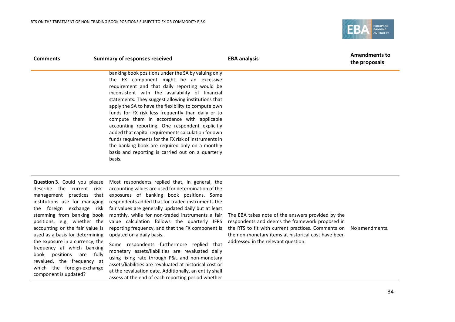

| <b>Comments</b>                                                                                                                                                                                                                                                                                                                                                                                                                                                       | <b>Summary of responses received</b>                                                                                                                                                                                                                                                                                                                                                                                                                                                                                                                                                                                                                                                                                                                                                        | <b>EBA analysis</b>                                                                                                                                                                                                                                      | <b>Amendments to</b><br>the proposals |
|-----------------------------------------------------------------------------------------------------------------------------------------------------------------------------------------------------------------------------------------------------------------------------------------------------------------------------------------------------------------------------------------------------------------------------------------------------------------------|---------------------------------------------------------------------------------------------------------------------------------------------------------------------------------------------------------------------------------------------------------------------------------------------------------------------------------------------------------------------------------------------------------------------------------------------------------------------------------------------------------------------------------------------------------------------------------------------------------------------------------------------------------------------------------------------------------------------------------------------------------------------------------------------|----------------------------------------------------------------------------------------------------------------------------------------------------------------------------------------------------------------------------------------------------------|---------------------------------------|
|                                                                                                                                                                                                                                                                                                                                                                                                                                                                       | banking book positions under the SA by valuing only<br>the FX component might be an excessive<br>requirement and that daily reporting would be<br>inconsistent with the availability of financial<br>statements. They suggest allowing institutions that<br>apply the SA to have the flexibility to compute own<br>funds for FX risk less frequently than daily or to<br>compute them in accordance with applicable<br>accounting reporting. One respondent explicitly<br>added that capital requirements calculation for own<br>funds requirements for the FX risk of instruments in<br>the banking book are required only on a monthly<br>basis and reporting is carried out on a quarterly<br>basis.                                                                                     |                                                                                                                                                                                                                                                          |                                       |
| Question 3. Could you please<br>describe the current risk-<br>management practices that<br>institutions use for managing<br>the foreign exchange<br>stemming from banking book<br>positions, e.g. whether the<br>accounting or the fair value is<br>used as a basis for determining<br>the exposure in a currency, the<br>frequency at which banking<br>book positions are fully<br>revalued, the frequency at<br>which the foreign-exchange<br>component is updated? | Most respondents replied that, in general, the<br>accounting values are used for determination of the<br>exposures of banking book positions. Some<br>respondents added that for traded instruments the<br>fair values are generally updated daily but at least<br>risk<br>monthly, while for non-traded instruments a fair<br>value calculation follows the quarterly IFRS<br>reporting frequency, and that the FX component is<br>updated on a daily basis.<br>Some respondents furthermore replied that<br>monetary assets/liabilities are revaluated daily<br>using fixing rate through P&L and non-monetary<br>assets/liabilities are revaluated at historical cost or<br>at the revaluation date. Additionally, an entity shall<br>assess at the end of each reporting period whether | The EBA takes note of the answers provided by the<br>respondents and deems the framework proposed in<br>the RTS to fit with current practices. Comments on<br>the non-monetary items at historical cost have been<br>addressed in the relevant question. | No amendments.                        |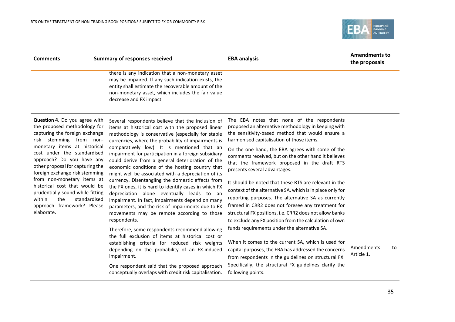

| <b>Comments</b>                                                                                                                                                                                                                                                                                                                                                                                                                                                              | <b>Summary of responses received</b>                                                                                                                                                                                                                                                                                                                                                                                                                                                                                                                                                                                                                                                                                                                                                                                                                                                                                                                                                                                                                                                                 | <b>EBA analysis</b>                                                                                                                                                                                                                                                                                                                                                                                                                                                                                                                                                                                                                                                                                                                                                                                                                                                                                                                                                                                                                   | <b>Amendments to</b><br>the proposals |    |
|------------------------------------------------------------------------------------------------------------------------------------------------------------------------------------------------------------------------------------------------------------------------------------------------------------------------------------------------------------------------------------------------------------------------------------------------------------------------------|------------------------------------------------------------------------------------------------------------------------------------------------------------------------------------------------------------------------------------------------------------------------------------------------------------------------------------------------------------------------------------------------------------------------------------------------------------------------------------------------------------------------------------------------------------------------------------------------------------------------------------------------------------------------------------------------------------------------------------------------------------------------------------------------------------------------------------------------------------------------------------------------------------------------------------------------------------------------------------------------------------------------------------------------------------------------------------------------------|---------------------------------------------------------------------------------------------------------------------------------------------------------------------------------------------------------------------------------------------------------------------------------------------------------------------------------------------------------------------------------------------------------------------------------------------------------------------------------------------------------------------------------------------------------------------------------------------------------------------------------------------------------------------------------------------------------------------------------------------------------------------------------------------------------------------------------------------------------------------------------------------------------------------------------------------------------------------------------------------------------------------------------------|---------------------------------------|----|
|                                                                                                                                                                                                                                                                                                                                                                                                                                                                              | there is any indication that a non-monetary asset<br>may be impaired. If any such indication exists, the<br>entity shall estimate the recoverable amount of the<br>non-monetary asset, which includes the fair value<br>decrease and FX impact.                                                                                                                                                                                                                                                                                                                                                                                                                                                                                                                                                                                                                                                                                                                                                                                                                                                      |                                                                                                                                                                                                                                                                                                                                                                                                                                                                                                                                                                                                                                                                                                                                                                                                                                                                                                                                                                                                                                       |                                       |    |
| Question 4. Do you agree with<br>the proposed methodology for<br>capturing the foreign exchange<br>risk stemming from non-<br>monetary items at historical<br>cost under the standardised<br>approach? Do you have any<br>other proposal for capturing the<br>foreign exchange risk stemming<br>from non-monetary items at<br>historical cost that would be<br>prudentially sound while fitting<br>within<br>the<br>standardised<br>approach framework? Please<br>elaborate. | Several respondents believe that the inclusion of<br>items at historical cost with the proposed linear<br>methodology is conservative (especially for stable<br>currencies, where the probability of impairments is<br>comparatively low). It is mentioned that an<br>impairment for participation in a foreign subsidiary<br>could derive from a general deterioration of the<br>economic conditions of the hosting country that<br>might well be associated with a depreciation of its<br>currency. Disentangling the domestic effects from<br>the FX ones, it is hard to identify cases in which FX<br>depreciation alone eventually leads to an<br>impairment. In fact, impairments depend on many<br>parameters, and the risk of impairments due to FX<br>movements may be remote according to those<br>respondents.<br>Therefore, some respondents recommend allowing<br>the full exclusion of items at historical cost or<br>establishing criteria for reduced risk weights<br>depending on the probability of an FX-induced<br>impairment.<br>One respondent said that the proposed approach | The EBA notes that none of the respondents<br>proposed an alternative methodology in keeping with<br>the sensitivity-based method that would ensure a<br>harmonised capitalisation of those items.<br>On the one hand, the EBA agrees with some of the<br>comments received, but on the other hand it believes<br>that the framework proposed in the draft RTS<br>presents several advantages.<br>It should be noted that these RTS are relevant in the<br>context of the alternative SA, which is in place only for<br>reporting purposes. The alternative SA as currently<br>framed in CRR2 does not foresee any treatment for<br>structural FX positions, i.e. CRR2 does not allow banks<br>to exclude any FX position from the calculation of own<br>funds requirements under the alternative SA.<br>When it comes to the current SA, which is used for<br>capital purposes, the EBA has addressed the concerns<br>from respondents in the guidelines on structural FX.<br>Specifically, the structural FX guidelines clarify the | Amendments<br>Article 1.              | to |
|                                                                                                                                                                                                                                                                                                                                                                                                                                                                              | conceptually overlaps with credit risk capitalisation.                                                                                                                                                                                                                                                                                                                                                                                                                                                                                                                                                                                                                                                                                                                                                                                                                                                                                                                                                                                                                                               | following points.                                                                                                                                                                                                                                                                                                                                                                                                                                                                                                                                                                                                                                                                                                                                                                                                                                                                                                                                                                                                                     |                                       |    |
|                                                                                                                                                                                                                                                                                                                                                                                                                                                                              |                                                                                                                                                                                                                                                                                                                                                                                                                                                                                                                                                                                                                                                                                                                                                                                                                                                                                                                                                                                                                                                                                                      |                                                                                                                                                                                                                                                                                                                                                                                                                                                                                                                                                                                                                                                                                                                                                                                                                                                                                                                                                                                                                                       |                                       | 35 |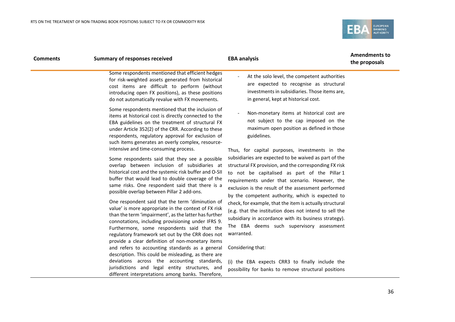

| <b>Comments</b> | <b>Summary of responses received</b>                                                                                                                                                                                                                                                                                                                                                                                                                                                                                                                                                                                                                                                                                                                                                                                                                                                                                                                            | <b>EBA analysis</b>                                                                                                                                                                                                                                                                                                                                                                                                                                                                                                                                                                                                                                                                                                                                       | <b>Amendments to</b><br>the proposals |
|-----------------|-----------------------------------------------------------------------------------------------------------------------------------------------------------------------------------------------------------------------------------------------------------------------------------------------------------------------------------------------------------------------------------------------------------------------------------------------------------------------------------------------------------------------------------------------------------------------------------------------------------------------------------------------------------------------------------------------------------------------------------------------------------------------------------------------------------------------------------------------------------------------------------------------------------------------------------------------------------------|-----------------------------------------------------------------------------------------------------------------------------------------------------------------------------------------------------------------------------------------------------------------------------------------------------------------------------------------------------------------------------------------------------------------------------------------------------------------------------------------------------------------------------------------------------------------------------------------------------------------------------------------------------------------------------------------------------------------------------------------------------------|---------------------------------------|
|                 | Some respondents mentioned that efficient hedges<br>for risk-weighted assets generated from historical<br>cost items are difficult to perform (without<br>introducing open FX positions), as these positions<br>do not automatically revalue with FX movements.                                                                                                                                                                                                                                                                                                                                                                                                                                                                                                                                                                                                                                                                                                 | At the solo level, the competent authorities<br>are expected to recognise as structural<br>investments in subsidiaries. Those items are,<br>in general, kept at historical cost.                                                                                                                                                                                                                                                                                                                                                                                                                                                                                                                                                                          |                                       |
|                 | Some respondents mentioned that the inclusion of<br>items at historical cost is directly connected to the<br>EBA guidelines on the treatment of structural FX<br>under Article 352(2) of the CRR. According to these<br>respondents, regulatory approval for exclusion of<br>such items generates an overly complex, resource-<br>intensive and time-consuming process.                                                                                                                                                                                                                                                                                                                                                                                                                                                                                                                                                                                         | Non-monetary items at historical cost are<br>not subject to the cap imposed on the<br>maximum open position as defined in those<br>guidelines.                                                                                                                                                                                                                                                                                                                                                                                                                                                                                                                                                                                                            |                                       |
|                 | Some respondents said that they see a possible<br>overlap between inclusion of subsidiaries at<br>historical cost and the systemic risk buffer and O-SII<br>buffer that would lead to double coverage of the<br>same risks. One respondent said that there is a<br>possible overlap between Pillar 2 add-ons.<br>One respondent said that the term 'diminution of<br>value' is more appropriate in the context of FX risk<br>than the term 'impairment', as the latter has further<br>connotations, including provisioning under IFRS 9.<br>Furthermore, some respondents said that the<br>regulatory framework set out by the CRR does not<br>provide a clear definition of non-monetary items<br>and refers to accounting standards as a general<br>description. This could be misleading, as there are<br>deviations across the accounting standards,<br>jurisdictions and legal entity structures, and<br>different interpretations among banks. Therefore, | Thus, for capital purposes, investments in the<br>subsidiaries are expected to be waived as part of the<br>structural FX provision, and the corresponding FX risk<br>to not be capitalised as part of the Pillar 1<br>requirements under that scenario. However, the<br>exclusion is the result of the assessment performed<br>by the competent authority, which is expected to<br>check, for example, that the item is actually structural<br>(e.g. that the institution does not intend to sell the<br>subsidiary in accordance with its business strategy).<br>The EBA deems such supervisory assessment<br>warranted.<br>Considering that:<br>(i) the EBA expects CRR3 to finally include the<br>possibility for banks to remove structural positions |                                       |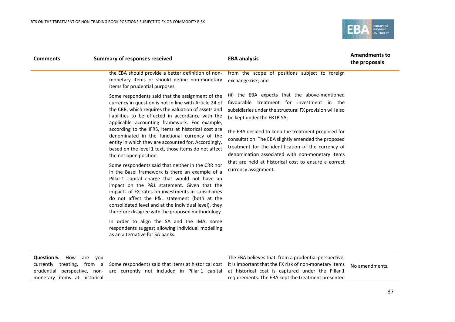

| <b>Comments</b>                                                                                                                | <b>Summary of responses received</b>                                                                                                                                                                                                                                                                                                                                                                                                                                                                                                                                                                                                                                                                                                                                                                                                                                                                                                                                                                 | <b>EBA analysis</b>                                                                                                                                                                                                                                                                                                                                                                                                                                                                          | <b>Amendments to</b><br>the proposals |
|--------------------------------------------------------------------------------------------------------------------------------|------------------------------------------------------------------------------------------------------------------------------------------------------------------------------------------------------------------------------------------------------------------------------------------------------------------------------------------------------------------------------------------------------------------------------------------------------------------------------------------------------------------------------------------------------------------------------------------------------------------------------------------------------------------------------------------------------------------------------------------------------------------------------------------------------------------------------------------------------------------------------------------------------------------------------------------------------------------------------------------------------|----------------------------------------------------------------------------------------------------------------------------------------------------------------------------------------------------------------------------------------------------------------------------------------------------------------------------------------------------------------------------------------------------------------------------------------------------------------------------------------------|---------------------------------------|
|                                                                                                                                | the EBA should provide a better definition of non-<br>monetary items or should define non-monetary<br>items for prudential purposes.                                                                                                                                                                                                                                                                                                                                                                                                                                                                                                                                                                                                                                                                                                                                                                                                                                                                 | from the scope of positions subject to foreign<br>exchange risk; and                                                                                                                                                                                                                                                                                                                                                                                                                         |                                       |
|                                                                                                                                | Some respondents said that the assignment of the<br>currency in question is not in line with Article 24 of<br>the CRR, which requires the valuation of assets and<br>liabilities to be effected in accordance with the<br>applicable accounting framework. For example,<br>according to the IFRS, items at historical cost are<br>denominated in the functional currency of the<br>entity in which they are accounted for. Accordingly,<br>based on the level 1 text, those items do not affect<br>the net open position.<br>Some respondents said that neither in the CRR nor<br>in the Basel framework is there an example of a<br>Pillar 1 capital charge that would not have an<br>impact on the P&L statement. Given that the<br>impacts of FX rates on investments in subsidiaries<br>do not affect the P&L statement (both at the<br>consolidated level and at the individual level), they<br>therefore disagree with the proposed methodology.<br>In order to align the SA and the IMA, some | (ii) the EBA expects that the above-mentioned<br>favourable treatment for investment in the<br>subsidiaries under the structural FX provision will also<br>be kept under the FRTB SA;<br>the EBA decided to keep the treatment proposed for<br>consultation. The EBA slightly amended the proposed<br>treatment for the identification of the currency of<br>denomination associated with non-monetary items<br>that are held at historical cost to ensure a correct<br>currency assignment. |                                       |
|                                                                                                                                | respondents suggest allowing individual modelling<br>as an alternative for SA banks.                                                                                                                                                                                                                                                                                                                                                                                                                                                                                                                                                                                                                                                                                                                                                                                                                                                                                                                 |                                                                                                                                                                                                                                                                                                                                                                                                                                                                                              |                                       |
| Question 5.<br>How<br>are you<br>currently treating, from a<br>perspective, non-<br>prudential<br>monetary items at historical | Some respondents said that items at historical cost<br>are currently not included in Pillar 1 capital                                                                                                                                                                                                                                                                                                                                                                                                                                                                                                                                                                                                                                                                                                                                                                                                                                                                                                | The EBA believes that, from a prudential perspective,<br>it is important that the FX risk of non-monetary items<br>at historical cost is captured under the Pillar 1<br>requirements. The EBA kept the treatment presented                                                                                                                                                                                                                                                                   | No amendments.                        |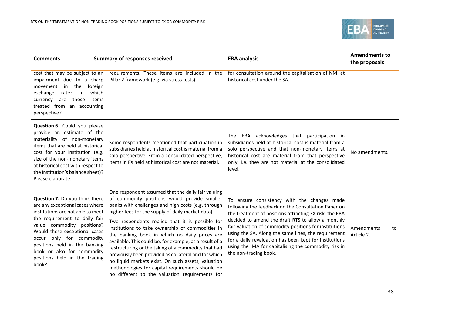

| <b>Comments</b>                                                                                                                                                                                                                                                                                                                                    | <b>Summary of responses received</b>                                                                                                                                                                                                                                                                                                                                                                                                                                                                                                                                                                                                                                                              | <b>EBA analysis</b>                                                                                                                                                                                                                                                                                                                                                                                                                                                           | <b>Amendments to</b><br>the proposals |
|----------------------------------------------------------------------------------------------------------------------------------------------------------------------------------------------------------------------------------------------------------------------------------------------------------------------------------------------------|---------------------------------------------------------------------------------------------------------------------------------------------------------------------------------------------------------------------------------------------------------------------------------------------------------------------------------------------------------------------------------------------------------------------------------------------------------------------------------------------------------------------------------------------------------------------------------------------------------------------------------------------------------------------------------------------------|-------------------------------------------------------------------------------------------------------------------------------------------------------------------------------------------------------------------------------------------------------------------------------------------------------------------------------------------------------------------------------------------------------------------------------------------------------------------------------|---------------------------------------|
| cost that may be subject to an<br>impairment due to a sharp<br>in the<br>foreign<br>movement<br>exchange<br>rate?<br>which<br>In<br>are those<br>items<br>currency<br>treated from an accounting<br>perspective?                                                                                                                                   | requirements. These items are included in the<br>Pillar 2 framework (e.g. via stress tests).                                                                                                                                                                                                                                                                                                                                                                                                                                                                                                                                                                                                      | for consultation around the capitalisation of NMI at<br>historical cost under the SA.                                                                                                                                                                                                                                                                                                                                                                                         |                                       |
| Question 6. Could you please<br>provide an estimate of the<br>materiality of non-monetary<br>items that are held at historical<br>cost for your institution (e.g.<br>size of the non-monetary items<br>at historical cost with respect to<br>the institution's balance sheet)?<br>Please elaborate.                                                | Some respondents mentioned that participation in<br>subsidiaries held at historical cost is material from a<br>solo perspective. From a consolidated perspective,<br>items in FX held at historical cost are not material.                                                                                                                                                                                                                                                                                                                                                                                                                                                                        | The EBA acknowledges that participation in<br>subsidiaries held at historical cost is material from a<br>solo perspective and that non-monetary items at<br>historical cost are material from that perspective<br>only, i.e. they are not material at the consolidated<br>level.                                                                                                                                                                                              | No amendments.                        |
| <b>Question 7.</b> Do you think there<br>are any exceptional cases where<br>institutions are not able to meet<br>the requirement to daily fair<br>value commodity positions?<br>Would these exceptional cases<br>occur only for commodity<br>positions held in the banking<br>book or also for commodity<br>positions held in the trading<br>book? | One respondent assumed that the daily fair valuing<br>of commodity positions would provide smaller<br>banks with challenges and high costs (e.g. through<br>higher fees for the supply of daily market data).<br>Two respondents replied that it is possible for<br>institutions to take ownership of commodities in<br>the banking book in which no daily prices are<br>available. This could be, for example, as a result of a<br>restructuring or the taking of a commodity that had<br>previously been provided as collateral and for which<br>no liquid markets exist. On such assets, valuation<br>والبارات والمتواط والمستوين ومراقيته ومرارا وعلامته والمتلازم والمتابع والمالية والمالية | To ensure consistency with the changes made<br>following the feedback on the Consultation Paper on<br>the treatment of positions attracting FX risk, the EBA<br>decided to amend the draft RTS to allow a monthly<br>fair valuation of commodity positions for institutions<br>using the SA. Along the same lines, the requirement<br>for a daily revaluation has been kept for institutions<br>using the IMA for capitalising the commodity risk in<br>the non-trading book. | Amendments<br>to<br>Article 2.        |

methodologies for capital requirements should be no different to the valuation requirements for

38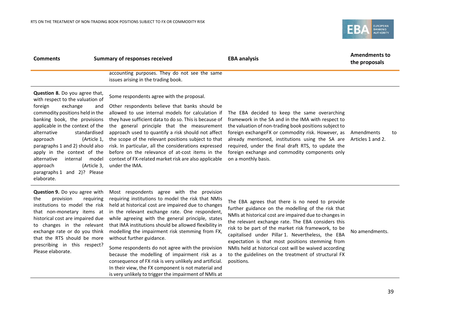Please elaborate.



| <b>Comments</b>                                                                                                                                                                                                                                                                                                                                                                                                                                 | <b>Summary of responses received</b>                                                                                                                                                                                                                                                                                                                                                                                                                                                                                                                         | <b>EBA analysis</b>                                                                                                                                                                                                                                                                                                                                                                                                                            | <b>Amendments to</b><br>the proposals |
|-------------------------------------------------------------------------------------------------------------------------------------------------------------------------------------------------------------------------------------------------------------------------------------------------------------------------------------------------------------------------------------------------------------------------------------------------|--------------------------------------------------------------------------------------------------------------------------------------------------------------------------------------------------------------------------------------------------------------------------------------------------------------------------------------------------------------------------------------------------------------------------------------------------------------------------------------------------------------------------------------------------------------|------------------------------------------------------------------------------------------------------------------------------------------------------------------------------------------------------------------------------------------------------------------------------------------------------------------------------------------------------------------------------------------------------------------------------------------------|---------------------------------------|
|                                                                                                                                                                                                                                                                                                                                                                                                                                                 | accounting purposes. They do not see the same<br>issues arising in the trading book.                                                                                                                                                                                                                                                                                                                                                                                                                                                                         |                                                                                                                                                                                                                                                                                                                                                                                                                                                |                                       |
| Question 8. Do you agree that,<br>with respect to the valuation of<br>foreign<br>exchange<br>and<br>commodity positions held in the<br>banking book, the provisions<br>applicable in the context of the<br>alternative<br>standardised<br>(Article 1,<br>approach<br>paragraphs 1 and 2) should also<br>apply in the context of the<br>alternative<br>model<br>internal<br>(Article 3,<br>approach<br>paragraphs 1 and 2)? Please<br>elaborate. | Some respondents agree with the proposal.<br>Other respondents believe that banks should be<br>allowed to use internal models for calculation if<br>they have sufficient data to do so. This is because of<br>the general principle that the measurement<br>approach used to quantify a risk should not affect<br>the scope of the relevant positions subject to that<br>risk. In particular, all the considerations expressed<br>before on the relevance of at-cost items in the<br>context of FX-related market risk are also applicable<br>under the IMA. | The EBA decided to keep the same overarching<br>framework in the SA and in the IMA with respect to<br>the valuation of non-trading book positions subject to<br>foreign exchangeFX or commodity risk. However, as<br>already mentioned, institutions using the SA are<br>required, under the final draft RTS, to update the<br>foreign exchange and commodity components only<br>on a monthly basis.                                           | Amendments<br>to<br>Articles 1 and 2. |
| Question 9. Do you agree with<br>provision<br>the<br>requiring<br>institutions to model the risk<br>that non-monetary items at<br>historical cost are impaired due<br>to changes in the relevant<br>exchange rate or do you think<br>that the RTS should be more<br>prescribing in this respect?<br>Dlassa alahawata                                                                                                                            | Most respondents agree with the provision<br>requiring institutions to model the risk that NMIs<br>held at historical cost are impaired due to changes<br>in the relevant exchange rate. One respondent,<br>while agreeing with the general principle, states<br>that IMA institutions should be allowed flexibility in<br>modelling the impairment risk stemming from FX,<br>without further guidance.<br>Some respondents do not agree with the provision                                                                                                  | The EBA agrees that there is no need to provide<br>further guidance on the modelling of the risk that<br>NMIs at historical cost are impaired due to changes in<br>the relevant exchange rate. The EBA considers this<br>risk to be part of the market risk framework, to be<br>capitalised under Pillar 1. Nevertheless, the EBA<br>expectation is that most positions stemming from<br>NMIs held at historical cost will be waived according | No amendments.                        |

because the modelling of impairment risk as a to the guidelines on the treatment of structural FX

positions.

consequence of FX risk is very unlikely and artificial. In their view, the FX component is not material and is very unlikely to trigger the impairment of NMIs at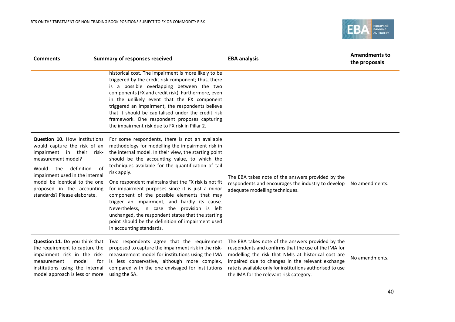

| <b>Comments</b>                                                                                                                                                                                                                                                                                  | <b>Summary of responses received</b>                                                                                                                                                                                                                                                                                                                                                                                                                                                                                                                                                                                                                                                | <b>EBA analysis</b>                                                                                                                                                                                                                                                                                                          | <b>Amendments to</b><br>the proposals |
|--------------------------------------------------------------------------------------------------------------------------------------------------------------------------------------------------------------------------------------------------------------------------------------------------|-------------------------------------------------------------------------------------------------------------------------------------------------------------------------------------------------------------------------------------------------------------------------------------------------------------------------------------------------------------------------------------------------------------------------------------------------------------------------------------------------------------------------------------------------------------------------------------------------------------------------------------------------------------------------------------|------------------------------------------------------------------------------------------------------------------------------------------------------------------------------------------------------------------------------------------------------------------------------------------------------------------------------|---------------------------------------|
|                                                                                                                                                                                                                                                                                                  | historical cost. The impairment is more likely to be<br>triggered by the credit risk component; thus, there<br>is a possible overlapping between the two<br>components (FX and credit risk). Furthermore, even<br>in the unlikely event that the FX component<br>triggered an impairment, the respondents believe<br>that it should be capitalised under the credit risk<br>framework. One respondent proposes capturing<br>the impairment risk due to FX risk in Pillar 2.                                                                                                                                                                                                         |                                                                                                                                                                                                                                                                                                                              |                                       |
| <b>Question 10.</b> How institutions<br>would capture the risk of an<br>impairment in their<br>risk-<br>measurement model?<br>definition<br>Would<br>the<br>0f<br>impairment used in the internal<br>model be identical to the one<br>proposed in the accounting<br>standards? Please elaborate. | For some respondents, there is not an available<br>methodology for modelling the impairment risk in<br>the internal model. In their view, the starting point<br>should be the accounting value, to which the<br>techniques available for the quantification of tail<br>risk apply.<br>One respondent maintains that the FX risk is not fit<br>for impairment purposes since it is just a minor<br>component of the possible elements that may<br>trigger an impairment, and hardly its cause.<br>Nevertheless, in case the provision is left<br>unchanged, the respondent states that the starting<br>point should be the definition of impairment used<br>in accounting standards. | The EBA takes note of the answers provided by the<br>respondents and encourages the industry to develop<br>adequate modelling techniques.                                                                                                                                                                                    | No amendments.                        |
| Question 11. Do you think that<br>the requirement to capture the<br>impairment risk in the risk-<br>model<br>for<br>measurement<br>institutions using the internal<br>model approach is less or more                                                                                             | Two respondents agree that the requirement<br>proposed to capture the impairment risk in the risk-<br>measurement model for institutions using the IMA<br>is less conservative, although more complex,<br>compared with the one envisaged for institutions<br>using the SA.                                                                                                                                                                                                                                                                                                                                                                                                         | The EBA takes note of the answers provided by the<br>respondents and confirms that the use of the IMA for<br>modelling the risk that NMIs at historical cost are<br>impaired due to changes in the relevant exchange<br>rate is available only for institutions authorised to use<br>the IMA for the relevant risk category. | No amendments.                        |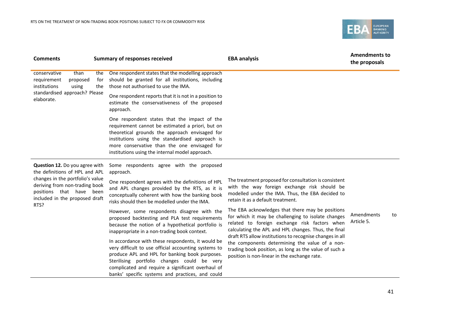

| <b>Summary of responses received</b>                                                                                                                                                                                                                                                                                                                                                                                                                                  | <b>EBA analysis</b>                                                                                                                                                                                                                                                                                                                                                                                                                    | <b>Amendments to</b><br>the proposals |
|-----------------------------------------------------------------------------------------------------------------------------------------------------------------------------------------------------------------------------------------------------------------------------------------------------------------------------------------------------------------------------------------------------------------------------------------------------------------------|----------------------------------------------------------------------------------------------------------------------------------------------------------------------------------------------------------------------------------------------------------------------------------------------------------------------------------------------------------------------------------------------------------------------------------------|---------------------------------------|
| One respondent states that the modelling approach<br>should be granted for all institutions, including<br>those not authorised to use the IMA.                                                                                                                                                                                                                                                                                                                        |                                                                                                                                                                                                                                                                                                                                                                                                                                        |                                       |
| One respondent reports that it is not in a position to<br>estimate the conservativeness of the proposed<br>approach.                                                                                                                                                                                                                                                                                                                                                  |                                                                                                                                                                                                                                                                                                                                                                                                                                        |                                       |
| One respondent states that the impact of the<br>requirement cannot be estimated a priori, but on<br>theoretical grounds the approach envisaged for<br>institutions using the standardised approach is<br>more conservative than the one envisaged for<br>institutions using the internal model approach.                                                                                                                                                              |                                                                                                                                                                                                                                                                                                                                                                                                                                        |                                       |
| Some respondents agree with the proposed<br>approach.                                                                                                                                                                                                                                                                                                                                                                                                                 |                                                                                                                                                                                                                                                                                                                                                                                                                                        |                                       |
| One respondent agrees with the definitions of HPL<br>and APL changes provided by the RTS, as it is<br>conceptually coherent with how the banking book<br>risks should then be modelled under the IMA.                                                                                                                                                                                                                                                                 | The treatment proposed for consultation is consistent<br>with the way foreign exchange risk should be<br>modelled under the IMA. Thus, the EBA decided to<br>retain it as a default treatment.                                                                                                                                                                                                                                         |                                       |
| However, some respondents disagree with the<br>proposed backtesting and PLA test requirements<br>because the notion of a hypothetical portfolio is<br>inappropriate in a non-trading book context.<br>In accordance with these respondents, it would be<br>very difficult to use official accounting systems to<br>produce APL and HPL for banking book purposes.<br>Sterilising portfolio changes could be very<br>complicated and require a significant overhaul of | The EBA acknowledges that there may be positions<br>for which it may be challenging to isolate changes<br>related to foreign exchange risk factors when<br>calculating the APL and HPL changes. Thus, the final<br>draft RTS allow institutions to recognise changes in all<br>the components determining the value of a non-<br>trading book position, as long as the value of such a<br>position is non-linear in the exchange rate. | Amendments<br>to<br>Article 5.        |
|                                                                                                                                                                                                                                                                                                                                                                                                                                                                       | banks' specific systems and practices, and could                                                                                                                                                                                                                                                                                                                                                                                       |                                       |